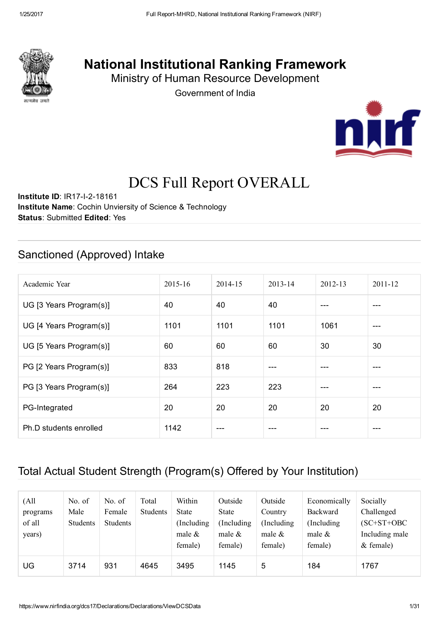

## National Institutional Ranking Framework

Ministry of Human Resource Development

Government of India



# DCS Full Report OVERALL

**Institute ID: IR17-I-2-18161** Institute Name: Cochin Unviersity of Science & Technology Status: Submitted Edited: Yes

#### Sanctioned (Approved) Intake

| Academic Year           | 2015-16 | 2014-15 | 2013-14 | 2012-13 | 2011-12 |
|-------------------------|---------|---------|---------|---------|---------|
| UG [3 Years Program(s)] | 40      | 40      | 40      | $- - -$ | ---     |
| UG [4 Years Program(s)] | 1101    | 1101    | 1101    | 1061    | $---$   |
| UG [5 Years Program(s)] | 60      | 60      | 60      | 30      | 30      |
| PG [2 Years Program(s)] | 833     | 818     | ---     |         | ---     |
| PG [3 Years Program(s)] | 264     | 223     | 223     | $- - -$ | ---     |
| PG-Integrated           | 20      | 20      | 20      | 20      | 20      |
| Ph.D students enrolled  | 1142    |         | ---     |         | ---     |

## Total Actual Student Strength (Program(s) Offered by Your Institution)

| (All<br>programs<br>of all<br>years) | No. of<br>Male<br>Students | No. of<br>Female<br><b>Students</b> | Total<br><b>Students</b> | Within<br>State<br>(Including)<br>male $\&$<br>female) | Outside<br>State<br>Including<br>male $\&$<br>female) | Outside<br>Country<br>(Including)<br>male $\&$<br>female) | Economically<br>Backward<br>(Including)<br>male $\&$<br>female) | Socially<br>Challenged<br>$(SC+ST+OBC$<br>Including male<br>$&$ female) |
|--------------------------------------|----------------------------|-------------------------------------|--------------------------|--------------------------------------------------------|-------------------------------------------------------|-----------------------------------------------------------|-----------------------------------------------------------------|-------------------------------------------------------------------------|
| UG                                   | 3714                       | 931                                 | 4645                     | 3495                                                   | 1145                                                  | 5                                                         | 184                                                             | 1767                                                                    |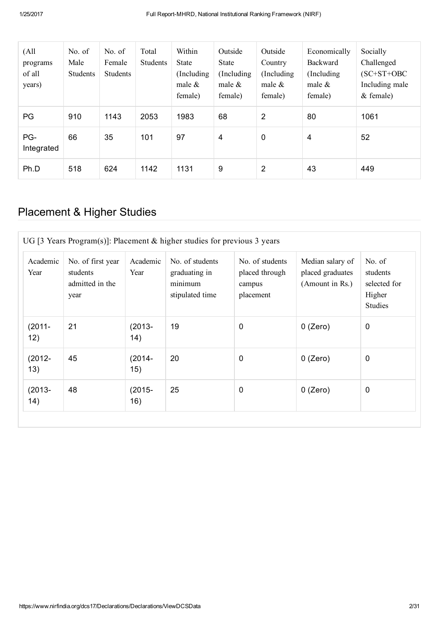| (A <sup>11</sup> )<br>programs<br>of all<br>years) | No. of<br>Male<br><b>Students</b> | No. of<br>Female<br>Students | Total<br><b>Students</b> | Within<br><b>State</b><br>(Including)<br>male $\&$<br>female) | Outside<br>State<br>(Including)<br>male $\&$<br>female) | Outside<br>Country<br>(Including)<br>male $\&$<br>female) | Economically<br>Backward<br>(Including)<br>male $\&$<br>female) | Socially<br>Challenged<br>$SC+ST+OBC$<br>Including male<br>$&$ female) |
|----------------------------------------------------|-----------------------------------|------------------------------|--------------------------|---------------------------------------------------------------|---------------------------------------------------------|-----------------------------------------------------------|-----------------------------------------------------------------|------------------------------------------------------------------------|
| PG                                                 | 910                               | 1143                         | 2053                     | 1983                                                          | 68                                                      | $\overline{2}$                                            | 80                                                              | 1061                                                                   |
| PG-<br>Integrated                                  | 66                                | 35                           | 101                      | 97                                                            | $\overline{4}$                                          | $\mathbf 0$                                               | 4                                                               | 52                                                                     |
| Ph.D                                               | 518                               | 624                          | 1142                     | 1131                                                          | 9                                                       | $\overline{2}$                                            | 43                                                              | 449                                                                    |

## Placement & Higher Studies

| UG [3 Years Program(s)]: Placement $&$ higher studies for previous 3 years |                                                          |                   |                                                                |                                                          |                                                         |                                                         |  |
|----------------------------------------------------------------------------|----------------------------------------------------------|-------------------|----------------------------------------------------------------|----------------------------------------------------------|---------------------------------------------------------|---------------------------------------------------------|--|
| Academic<br>Year                                                           | No. of first year<br>students<br>admitted in the<br>year | Academic<br>Year  | No. of students<br>graduating in<br>minimum<br>stipulated time | No. of students<br>placed through<br>campus<br>placement | Median salary of<br>placed graduates<br>(Amount in Rs.) | No. of<br>students<br>selected for<br>Higher<br>Studies |  |
| $(2011 -$<br>12)                                                           | 21                                                       | $(2013 -$<br>(14) | 19                                                             | $\mathbf 0$                                              | $0$ (Zero)                                              | $\mathbf 0$                                             |  |
| $(2012 -$<br>13)                                                           | 45                                                       | $(2014 -$<br>15)  | 20                                                             | $\mathbf 0$                                              | $0$ (Zero)                                              | $\mathbf 0$                                             |  |
| $(2013 -$<br>(14)                                                          | 48                                                       | $(2015 -$<br>16)  | 25                                                             | $\mathbf 0$                                              | $0$ (Zero)                                              | $\mathbf 0$                                             |  |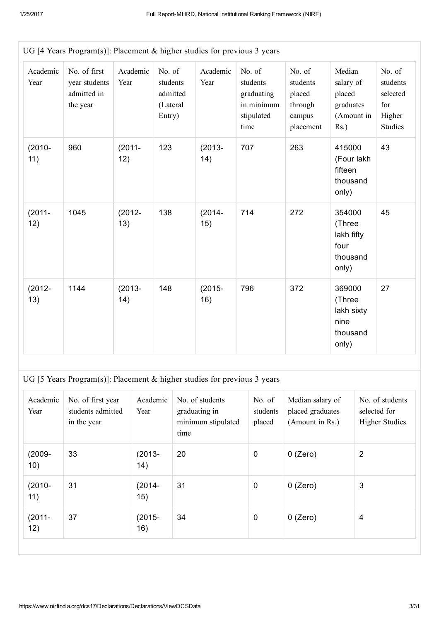|                  | UG [4 Years Program(s)]: Placement $&$ higher studies for previous 3 years |                  |                                                      |                  |                                                                      |                                                                |                                                                     |                                                                   |  |  |
|------------------|----------------------------------------------------------------------------|------------------|------------------------------------------------------|------------------|----------------------------------------------------------------------|----------------------------------------------------------------|---------------------------------------------------------------------|-------------------------------------------------------------------|--|--|
| Academic<br>Year | No. of first<br>year students<br>admitted in<br>the year                   | Academic<br>Year | No. of<br>students<br>admitted<br>(Lateral<br>Entry) | Academic<br>Year | No. of<br>students<br>graduating<br>in minimum<br>stipulated<br>time | No. of<br>students<br>placed<br>through<br>campus<br>placement | Median<br>salary of<br>placed<br>graduates<br>(Amount in<br>$Rs.$ ) | No. of<br>students<br>selected<br>for<br>Higher<br><b>Studies</b> |  |  |
| $(2010 -$<br>11) | 960                                                                        | $(2011 -$<br>12) | 123                                                  | $(2013 -$<br>14) | 707                                                                  | 263                                                            | 415000<br>(Four lakh<br>fifteen<br>thousand<br>only)                | 43                                                                |  |  |
| $(2011 -$<br>12) | 1045                                                                       | $(2012 -$<br>13) | 138                                                  | $(2014 -$<br>15) | 714                                                                  | 272                                                            | 354000<br>(Three<br>lakh fifty<br>four<br>thousand<br>only)         | 45                                                                |  |  |
| $(2012 -$<br>13) | 1144                                                                       | $(2013 -$<br>14) | 148                                                  | $(2015 -$<br>16) | 796                                                                  | 372                                                            | 369000<br>(Three<br>lakh sixty<br>nine<br>thousand<br>only)         | 27                                                                |  |  |

UG [5 Years Program(s)]: Placement & higher studies for previous 3 years

| Academic<br>Year | No. of first year<br>students admitted<br>in the year | Academic<br>Year  | No. of students<br>graduating in<br>minimum stipulated<br>time | No. of<br>students<br>placed | Median salary of<br>placed graduates<br>(Amount in Rs.) | No. of students<br>selected for<br><b>Higher Studies</b> |
|------------------|-------------------------------------------------------|-------------------|----------------------------------------------------------------|------------------------------|---------------------------------------------------------|----------------------------------------------------------|
| $(2009 -$<br>10) | 33                                                    | $(2013 -$<br>(14) | 20                                                             | $\mathbf 0$                  | $0$ (Zero)                                              | $\overline{2}$                                           |
| $(2010 -$<br>11) | 31                                                    | $(2014 -$<br>15)  | 31                                                             | $\mathbf 0$                  | $0$ (Zero)                                              | 3                                                        |
| $(2011 -$<br>12) | 37                                                    | $(2015 -$<br>16)  | 34                                                             | $\mathbf 0$                  | $0$ (Zero)                                              | $\overline{4}$                                           |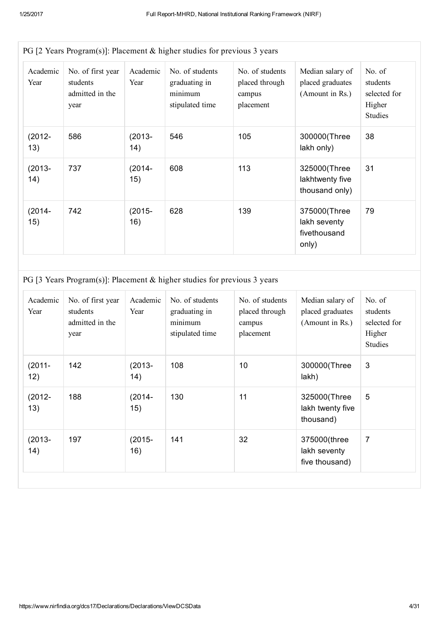| PG [2 Years Program(s)]: Placement $\&$ higher studies for previous 3 years |                                                          |                   |                                                                |                                                          |                                                         |                                                                |  |  |
|-----------------------------------------------------------------------------|----------------------------------------------------------|-------------------|----------------------------------------------------------------|----------------------------------------------------------|---------------------------------------------------------|----------------------------------------------------------------|--|--|
| Academic<br>Year                                                            | No. of first year<br>students<br>admitted in the<br>year | Academic<br>Year  | No. of students<br>graduating in<br>minimum<br>stipulated time | No. of students<br>placed through<br>campus<br>placement | Median salary of<br>placed graduates<br>(Amount in Rs.) | No. of<br>students<br>selected for<br>Higher<br><b>Studies</b> |  |  |
| $(2012 -$<br>13)                                                            | 586                                                      | $(2013 -$<br>(14) | 546                                                            | 105                                                      | 300000(Three<br>lakh only)                              | 38                                                             |  |  |
| $(2013 -$<br>(14)                                                           | 737                                                      | $(2014 -$<br>15)  | 608                                                            | 113                                                      | 325000(Three<br>lakhtwenty five<br>thousand only)       | 31                                                             |  |  |
| $(2014 -$<br>15)                                                            | 742                                                      | $(2015 -$<br>16)  | 628                                                            | 139                                                      | 375000(Three<br>lakh seventy<br>fivethousand<br>only)   | 79                                                             |  |  |

PG [3 Years Program(s)]: Placement & higher studies for previous 3 years

| Academic<br>Year | No. of first year<br>students<br>admitted in the<br>year | Academic<br>Year  | No. of students<br>graduating in<br>minimum<br>stipulated time | No. of students<br>placed through<br>campus<br>placement | Median salary of<br>placed graduates<br>(Amount in Rs.) | No. of<br>students<br>selected for<br>Higher<br><b>Studies</b> |
|------------------|----------------------------------------------------------|-------------------|----------------------------------------------------------------|----------------------------------------------------------|---------------------------------------------------------|----------------------------------------------------------------|
| $(2011 -$<br>12) | 142                                                      | $(2013 -$<br>(14) | 108                                                            | 10                                                       | 300000(Three<br>lakh)                                   | 3                                                              |
| $(2012 -$<br>13) | 188                                                      | $(2014 -$<br>15)  | 130                                                            | 11                                                       | 325000(Three<br>lakh twenty five<br>thousand)           | 5                                                              |
| $(2013 -$<br>14) | 197                                                      | $(2015 -$<br>16)  | 141                                                            | 32                                                       | 375000(three<br>lakh seventy<br>five thousand)          | $\overline{7}$                                                 |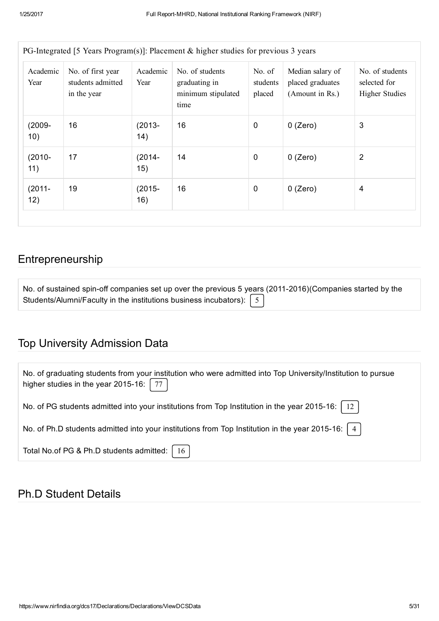| Academic<br>Year | No. of first year<br>students admitted<br>in the year | Academic<br>Year | No. of students<br>graduating in<br>minimum stipulated<br>time | No. of<br>students<br>placed | Median salary of<br>placed graduates<br>(Amount in Rs.) | No. of students<br>selected for<br><b>Higher Studies</b> |
|------------------|-------------------------------------------------------|------------------|----------------------------------------------------------------|------------------------------|---------------------------------------------------------|----------------------------------------------------------|
| $(2009 -$<br>10) | 16                                                    | $(2013 -$<br>14) | 16                                                             | $\mathbf 0$                  | $0$ (Zero)                                              | 3                                                        |
| $(2010 -$<br>11) | 17                                                    | $(2014 -$<br>15) | 14                                                             | $\mathbf 0$                  | $0$ (Zero)                                              | $\overline{2}$                                           |
| $(2011 -$<br>12) | 19                                                    | $(2015 -$<br>16) | 16                                                             | $\mathbf 0$                  | $0$ (Zero)                                              | 4                                                        |

#### Entrepreneurship

| No. of sustained spin-off companies set up over the previous 5 years (2011-2016)(Companies started by the |  |
|-----------------------------------------------------------------------------------------------------------|--|
| Students/Alumni/Faculty in the institutions business incubators): $\begin{bmatrix} 5 \end{bmatrix}$       |  |

## Top University Admission Data

| No. of graduating students from your institution who were admitted into Top University/Institution to pursue<br>higher studies in the year 2015-16: $\mid$ 77 $\mid$ |
|----------------------------------------------------------------------------------------------------------------------------------------------------------------------|
| No. of PG students admitted into your institutions from Top Institution in the year 2015-16:   12                                                                    |
| No. of Ph.D students admitted into your institutions from Top Institution in the year 2015-16: $\mid$ 4                                                              |
| Total No.of PG & Ph.D students admitted:   16                                                                                                                        |

## Ph.D Student Details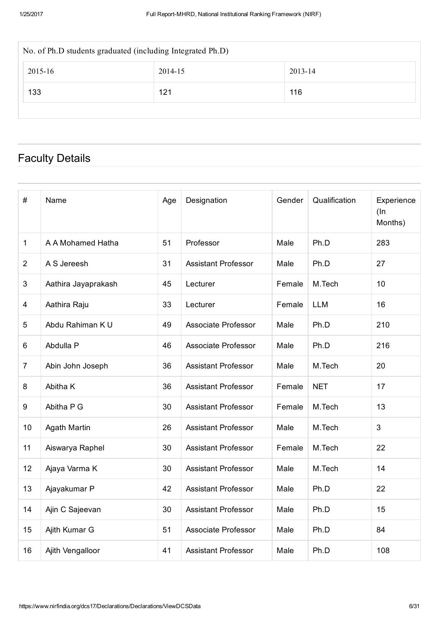| No. of Ph.D students graduated (including Integrated Ph.D) |         |         |  |  |  |  |  |
|------------------------------------------------------------|---------|---------|--|--|--|--|--|
| 2015-16                                                    | 2014-15 | 2013-14 |  |  |  |  |  |
| 133                                                        | 121     | 116     |  |  |  |  |  |
|                                                            |         |         |  |  |  |  |  |

## Faculty Details

| #              | Name                | Age | Designation                | Gender | Qualification | Experience<br>$(\ln$<br>Months) |
|----------------|---------------------|-----|----------------------------|--------|---------------|---------------------------------|
| 1              | A A Mohamed Hatha   | 51  | Professor                  | Male   | Ph.D          | 283                             |
| $\overline{2}$ | A S Jereesh         | 31  | <b>Assistant Professor</b> | Male   | Ph.D          | 27                              |
| 3              | Aathira Jayaprakash | 45  | Lecturer                   | Female | M.Tech        | 10                              |
| 4              | Aathira Raju        | 33  | Lecturer                   | Female | <b>LLM</b>    | 16                              |
| 5              | Abdu Rahiman K U    | 49  | Associate Professor        | Male   | Ph.D          | 210                             |
| 6              | Abdulla P           | 46  | Associate Professor        | Male   | Ph.D          | 216                             |
| $\overline{7}$ | Abin John Joseph    | 36  | <b>Assistant Professor</b> | Male   | M.Tech        | 20                              |
| 8              | Abitha K            | 36  | <b>Assistant Professor</b> | Female | <b>NET</b>    | 17                              |
| 9              | Abitha P G          | 30  | <b>Assistant Professor</b> | Female | M.Tech        | 13                              |
| 10             | <b>Agath Martin</b> | 26  | <b>Assistant Professor</b> | Male   | M.Tech        | $\mathfrak{Z}$                  |
| 11             | Aiswarya Raphel     | 30  | <b>Assistant Professor</b> | Female | M.Tech        | 22                              |
| 12             | Ajaya Varma K       | 30  | <b>Assistant Professor</b> | Male   | M.Tech        | 14                              |
| 13             | Ajayakumar P        | 42  | <b>Assistant Professor</b> | Male   | Ph.D          | 22                              |
| 14             | Ajin C Sajeevan     | 30  | <b>Assistant Professor</b> | Male   | Ph.D          | 15                              |
| 15             | Ajith Kumar G       | 51  | Associate Professor        | Male   | Ph.D          | 84                              |
| 16             | Ajith Vengalloor    | 41  | <b>Assistant Professor</b> | Male   | Ph.D          | 108                             |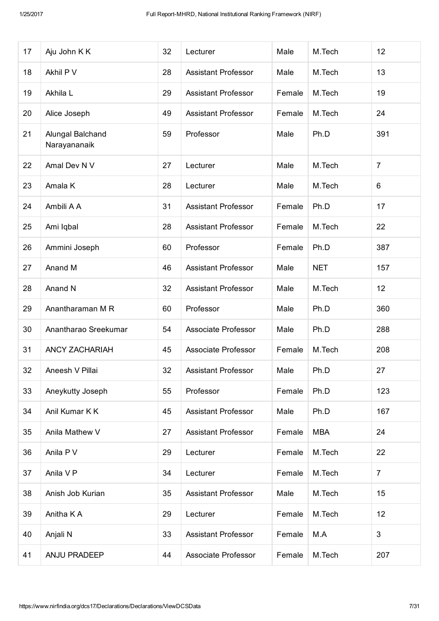| 17 | Aju John K K                     | 32 | Lecturer                   | Male   | M.Tech     | 12             |
|----|----------------------------------|----|----------------------------|--------|------------|----------------|
| 18 | Akhil P V                        | 28 | <b>Assistant Professor</b> | Male   | M.Tech     | 13             |
| 19 | Akhila L                         | 29 | <b>Assistant Professor</b> | Female | M.Tech     | 19             |
| 20 | Alice Joseph                     | 49 | <b>Assistant Professor</b> | Female | M.Tech     | 24             |
| 21 | Alungal Balchand<br>Narayananaik | 59 | Professor                  | Male   | Ph.D       | 391            |
| 22 | Amal Dev N V                     | 27 | Lecturer                   | Male   | M.Tech     | $\overline{7}$ |
| 23 | Amala K                          | 28 | Lecturer                   | Male   | M.Tech     | 6              |
| 24 | Ambili A A                       | 31 | <b>Assistant Professor</b> | Female | Ph.D       | 17             |
| 25 | Ami Iqbal                        | 28 | <b>Assistant Professor</b> | Female | M.Tech     | 22             |
| 26 | Ammini Joseph                    | 60 | Professor                  | Female | Ph.D       | 387            |
| 27 | Anand M                          | 46 | <b>Assistant Professor</b> | Male   | <b>NET</b> | 157            |
| 28 | Anand N                          | 32 | <b>Assistant Professor</b> | Male   | M.Tech     | 12             |
| 29 | Anantharaman M R                 | 60 | Professor                  | Male   | Ph.D       | 360            |
| 30 | Anantharao Sreekumar             | 54 | Associate Professor        | Male   | Ph.D       | 288            |
| 31 | <b>ANCY ZACHARIAH</b>            | 45 | Associate Professor        | Female | M.Tech     | 208            |
| 32 | Aneesh V Pillai                  | 32 | Assistant Professor        | Male   | Ph.D       | 27             |
| 33 | Aneykutty Joseph                 | 55 | Professor                  | Female | Ph.D       | 123            |
| 34 | Anil Kumar K K                   | 45 | <b>Assistant Professor</b> | Male   | Ph.D       | 167            |
| 35 | Anila Mathew V                   | 27 | <b>Assistant Professor</b> | Female | <b>MBA</b> | 24             |
| 36 | Anila P V                        | 29 | Lecturer                   | Female | M.Tech     | 22             |
| 37 | Anila V P                        | 34 | Lecturer                   | Female | M.Tech     | $\overline{7}$ |
| 38 | Anish Job Kurian                 | 35 | <b>Assistant Professor</b> | Male   | M.Tech     | 15             |
| 39 | Anitha K A                       | 29 | Lecturer                   | Female | M.Tech     | 12             |
| 40 | Anjali N                         | 33 | <b>Assistant Professor</b> | Female | M.A        | 3              |
| 41 | ANJU PRADEEP                     | 44 | Associate Professor        | Female | M.Tech     | 207            |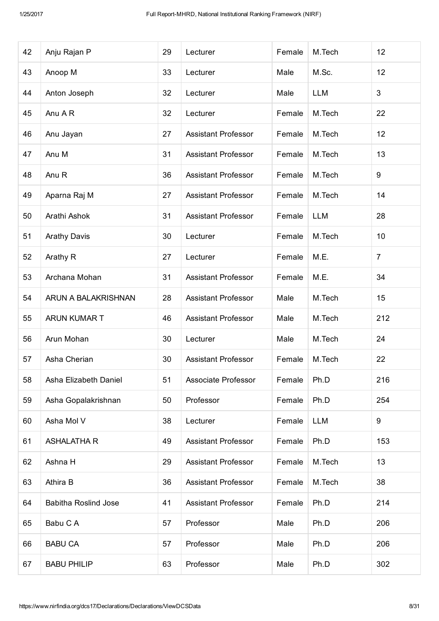| 42 | Anju Rajan P                | 29 | Lecturer                   | Female | M.Tech     | 12             |
|----|-----------------------------|----|----------------------------|--------|------------|----------------|
| 43 | Anoop M                     | 33 | Lecturer                   | Male   | M.Sc.      | 12             |
| 44 | Anton Joseph                | 32 | Lecturer                   | Male   | <b>LLM</b> | 3              |
| 45 | Anu A R                     | 32 | Lecturer                   | Female | M.Tech     | 22             |
| 46 | Anu Jayan                   | 27 | <b>Assistant Professor</b> | Female | M.Tech     | 12             |
| 47 | Anu M                       | 31 | <b>Assistant Professor</b> | Female | M.Tech     | 13             |
| 48 | Anu R                       | 36 | <b>Assistant Professor</b> | Female | M.Tech     | 9              |
| 49 | Aparna Raj M                | 27 | <b>Assistant Professor</b> | Female | M.Tech     | 14             |
| 50 | Arathi Ashok                | 31 | <b>Assistant Professor</b> | Female | <b>LLM</b> | 28             |
| 51 | <b>Arathy Davis</b>         | 30 | Lecturer                   | Female | M.Tech     | 10             |
| 52 | Arathy R                    | 27 | Lecturer                   | Female | M.E.       | $\overline{7}$ |
| 53 | Archana Mohan               | 31 | <b>Assistant Professor</b> | Female | M.E.       | 34             |
| 54 | ARUN A BALAKRISHNAN         | 28 | <b>Assistant Professor</b> | Male   | M.Tech     | 15             |
| 55 | ARUN KUMAR T                | 46 | <b>Assistant Professor</b> | Male   | M.Tech     | 212            |
| 56 | Arun Mohan                  | 30 | Lecturer                   | Male   | M.Tech     | 24             |
| 57 | Asha Cherian                | 30 | <b>Assistant Professor</b> | Female | M.Tech     | 22             |
| 58 | Asha Elizabeth Daniel       | 51 | Associate Professor        | Female | Ph.D       | 216            |
| 59 | Asha Gopalakrishnan         | 50 | Professor                  | Female | Ph.D       | 254            |
| 60 | Asha Mol V                  | 38 | Lecturer                   | Female | <b>LLM</b> | 9              |
| 61 | <b>ASHALATHA R</b>          | 49 | <b>Assistant Professor</b> | Female | Ph.D       | 153            |
| 62 | Ashna H                     | 29 | <b>Assistant Professor</b> | Female | M.Tech     | 13             |
| 63 | Athira B                    | 36 | <b>Assistant Professor</b> | Female | M.Tech     | 38             |
| 64 | <b>Babitha Roslind Jose</b> | 41 | <b>Assistant Professor</b> | Female | Ph.D       | 214            |
| 65 | Babu C A                    | 57 | Professor                  | Male   | Ph.D       | 206            |
| 66 | <b>BABU CA</b>              | 57 | Professor                  | Male   | Ph.D       | 206            |
| 67 | <b>BABU PHILIP</b>          | 63 | Professor                  | Male   | Ph.D       | 302            |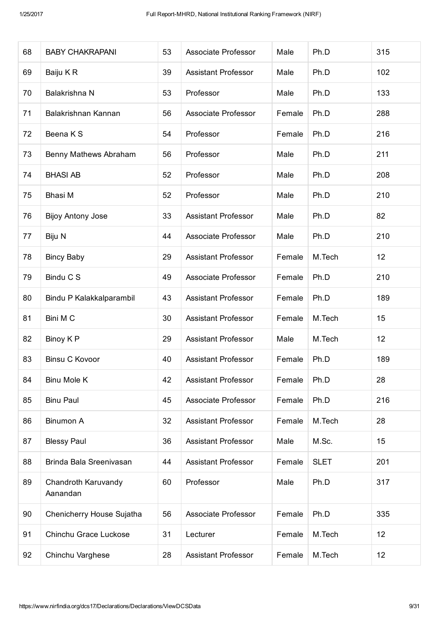| 68 | <b>BABY CHAKRAPANI</b>          | 53 | Associate Professor        | Male   | Ph.D        | 315             |
|----|---------------------------------|----|----------------------------|--------|-------------|-----------------|
| 69 | Baiju KR                        | 39 | <b>Assistant Professor</b> | Male   | Ph.D        | 102             |
| 70 | Balakrishna N                   | 53 | Professor                  | Male   | Ph.D        | 133             |
| 71 | Balakrishnan Kannan             | 56 | Associate Professor        | Female | Ph.D        | 288             |
| 72 | Beena K S                       | 54 | Professor                  | Female | Ph.D        | 216             |
| 73 | Benny Mathews Abraham           | 56 | Professor                  | Male   | Ph.D        | 211             |
| 74 | <b>BHASI AB</b>                 | 52 | Professor                  | Male   | Ph.D        | 208             |
| 75 | Bhasi M                         | 52 | Professor                  | Male   | Ph.D        | 210             |
| 76 | <b>Bijoy Antony Jose</b>        | 33 | <b>Assistant Professor</b> | Male   | Ph.D        | 82              |
| 77 | Biju N                          | 44 | Associate Professor        | Male   | Ph.D        | 210             |
| 78 | <b>Bincy Baby</b>               | 29 | <b>Assistant Professor</b> | Female | M.Tech      | 12 <sub>2</sub> |
| 79 | Bindu C S                       | 49 | Associate Professor        | Female | Ph.D        | 210             |
| 80 | Bindu P Kalakkalparambil        | 43 | <b>Assistant Professor</b> | Female | Ph.D        | 189             |
| 81 | Bini M C                        | 30 | <b>Assistant Professor</b> | Female | M.Tech      | 15              |
| 82 | Binoy K P                       | 29 | <b>Assistant Professor</b> | Male   | M.Tech      | 12              |
| 83 | <b>Binsu C Kovoor</b>           | 40 | <b>Assistant Professor</b> | Female | Ph.D        | 189             |
| 84 | Binu Mole K                     | 42 | <b>Assistant Professor</b> | Female | Ph.D        | 28              |
| 85 | <b>Binu Paul</b>                | 45 | Associate Professor        | Female | Ph.D        | 216             |
| 86 | Binumon A                       | 32 | <b>Assistant Professor</b> | Female | M.Tech      | 28              |
| 87 | <b>Blessy Paul</b>              | 36 | <b>Assistant Professor</b> | Male   | M.Sc.       | 15              |
| 88 | Brinda Bala Sreenivasan         | 44 | <b>Assistant Professor</b> | Female | <b>SLET</b> | 201             |
| 89 | Chandroth Karuvandy<br>Aanandan | 60 | Professor                  | Male   | Ph.D        | 317             |
| 90 | Chenicherry House Sujatha       | 56 | Associate Professor        | Female | Ph.D        | 335             |
| 91 | Chinchu Grace Luckose           | 31 | Lecturer                   | Female | M.Tech      | 12 <sub>2</sub> |
| 92 | Chinchu Varghese                | 28 | <b>Assistant Professor</b> | Female | M.Tech      | 12              |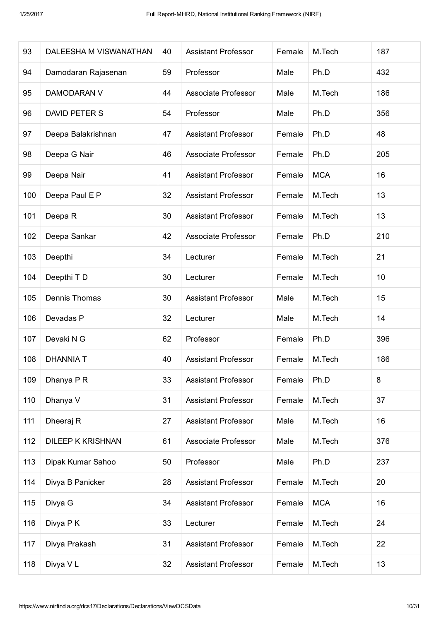| 93  | DALEESHA M VISWANATHAN   | 40 | <b>Assistant Professor</b> | Female | M.Tech     | 187 |
|-----|--------------------------|----|----------------------------|--------|------------|-----|
| 94  | Damodaran Rajasenan      | 59 | Professor                  | Male   | Ph.D       | 432 |
| 95  | <b>DAMODARAN V</b>       | 44 | <b>Associate Professor</b> | Male   | M.Tech     | 186 |
| 96  | DAVID PETER S            | 54 | Professor                  | Male   | Ph.D       | 356 |
| 97  | Deepa Balakrishnan       | 47 | <b>Assistant Professor</b> | Female | Ph.D       | 48  |
| 98  | Deepa G Nair             | 46 | Associate Professor        | Female | Ph.D       | 205 |
| 99  | Deepa Nair               | 41 | <b>Assistant Professor</b> | Female | <b>MCA</b> | 16  |
| 100 | Deepa Paul E P           | 32 | <b>Assistant Professor</b> | Female | M.Tech     | 13  |
| 101 | Deepa R                  | 30 | <b>Assistant Professor</b> | Female | M.Tech     | 13  |
| 102 | Deepa Sankar             | 42 | Associate Professor        | Female | Ph.D       | 210 |
| 103 | Deepthi                  | 34 | Lecturer                   | Female | M.Tech     | 21  |
| 104 | Deepthi T D              | 30 | Lecturer                   | Female | M.Tech     | 10  |
| 105 | Dennis Thomas            | 30 | <b>Assistant Professor</b> | Male   | M.Tech     | 15  |
| 106 | Devadas P                | 32 | Lecturer                   | Male   | M.Tech     | 14  |
| 107 | Devaki N G               | 62 | Professor                  | Female | Ph.D       | 396 |
| 108 | <b>DHANNIA T</b>         | 40 | <b>Assistant Professor</b> | Female | M.Tech     | 186 |
| 109 | Dhanya P R               | 33 | <b>Assistant Professor</b> | Female | Ph.D       | 8   |
| 110 | Dhanya V                 | 31 | <b>Assistant Professor</b> | Female | M.Tech     | 37  |
| 111 | Dheeraj R                | 27 | <b>Assistant Professor</b> | Male   | M.Tech     | 16  |
| 112 | <b>DILEEP K KRISHNAN</b> | 61 | Associate Professor        | Male   | M.Tech     | 376 |
| 113 | Dipak Kumar Sahoo        | 50 | Professor                  | Male   | Ph.D       | 237 |
| 114 | Divya B Panicker         | 28 | <b>Assistant Professor</b> | Female | M.Tech     | 20  |
| 115 | Divya G                  | 34 | <b>Assistant Professor</b> | Female | <b>MCA</b> | 16  |
| 116 | Divya P K                | 33 | Lecturer                   | Female | M.Tech     | 24  |
| 117 | Divya Prakash            | 31 | <b>Assistant Professor</b> | Female | M.Tech     | 22  |
| 118 | Divya VL                 | 32 | <b>Assistant Professor</b> | Female | M.Tech     | 13  |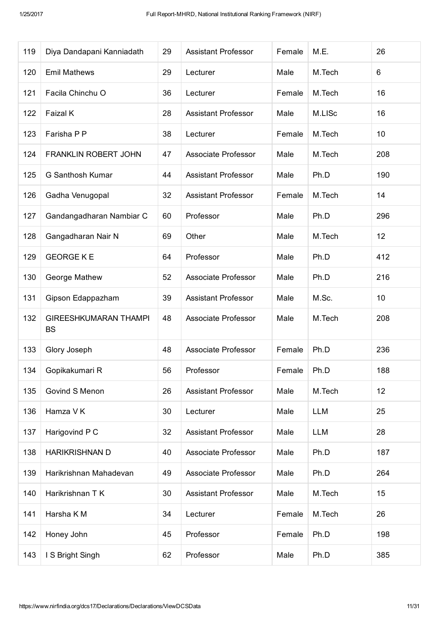| 119 | Diya Dandapani Kanniadath                 | 29 | <b>Assistant Professor</b> | Female | M.E.       | 26  |
|-----|-------------------------------------------|----|----------------------------|--------|------------|-----|
| 120 | <b>Emil Mathews</b>                       | 29 | Lecturer                   | Male   | M.Tech     | 6   |
| 121 | Facila Chinchu O                          | 36 | Lecturer                   | Female | M.Tech     | 16  |
| 122 | Faizal K                                  | 28 | <b>Assistant Professor</b> | Male   | M.LISc     | 16  |
| 123 | Farisha P P                               | 38 | Lecturer                   | Female | M.Tech     | 10  |
| 124 | <b>FRANKLIN ROBERT JOHN</b>               | 47 | Associate Professor        | Male   | M.Tech     | 208 |
| 125 | G Santhosh Kumar                          | 44 | <b>Assistant Professor</b> | Male   | Ph.D       | 190 |
| 126 | Gadha Venugopal                           | 32 | <b>Assistant Professor</b> | Female | M.Tech     | 14  |
| 127 | Gandangadharan Nambiar C                  | 60 | Professor                  | Male   | Ph.D       | 296 |
| 128 | Gangadharan Nair N                        | 69 | Other                      | Male   | M.Tech     | 12  |
| 129 | <b>GEORGE K E</b>                         | 64 | Professor                  | Male   | Ph.D       | 412 |
| 130 | George Mathew                             | 52 | Associate Professor        | Male   | Ph.D       | 216 |
| 131 | Gipson Edappazham                         | 39 | <b>Assistant Professor</b> | Male   | M.Sc.      | 10  |
| 132 | <b>GIREESHKUMARAN THAMPI</b><br><b>BS</b> | 48 | Associate Professor        | Male   | M.Tech     | 208 |
| 133 | Glory Joseph                              | 48 | Associate Professor        | Female | Ph.D       | 236 |
| 134 | Gopikakumari R                            | 56 | Professor                  | Female | Ph.D       | 188 |
| 135 | Govind S Menon                            | 26 | <b>Assistant Professor</b> | Male   | M.Tech     | 12  |
| 136 | Hamza V K                                 | 30 | Lecturer                   | Male   | <b>LLM</b> | 25  |
| 137 | Harigovind P C                            | 32 | <b>Assistant Professor</b> | Male   | <b>LLM</b> | 28  |
| 138 | <b>HARIKRISHNAN D</b>                     | 40 | Associate Professor        | Male   | Ph.D       | 187 |
| 139 | Harikrishnan Mahadevan                    | 49 | Associate Professor        | Male   | Ph.D       | 264 |
| 140 | Harikrishnan T K                          | 30 | <b>Assistant Professor</b> | Male   | M.Tech     | 15  |
| 141 | Harsha K M                                | 34 | Lecturer                   | Female | M.Tech     | 26  |
| 142 | Honey John                                | 45 | Professor                  | Female | Ph.D       | 198 |
| 143 | I S Bright Singh                          | 62 | Professor                  | Male   | Ph.D       | 385 |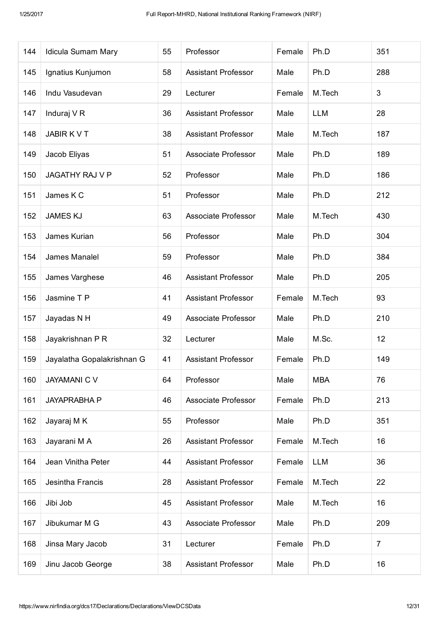| 144 | Idicula Sumam Mary         | 55 | Professor                  | Female | Ph.D       | 351            |
|-----|----------------------------|----|----------------------------|--------|------------|----------------|
| 145 | Ignatius Kunjumon          | 58 | <b>Assistant Professor</b> | Male   | Ph.D       | 288            |
| 146 | Indu Vasudevan             | 29 | Lecturer                   | Female | M.Tech     | 3              |
| 147 | Induraj V R                | 36 | <b>Assistant Professor</b> | Male   | <b>LLM</b> | 28             |
| 148 | <b>JABIRKVT</b>            | 38 | <b>Assistant Professor</b> | Male   | M.Tech     | 187            |
| 149 | Jacob Eliyas               | 51 | Associate Professor        | Male   | Ph.D       | 189            |
| 150 | <b>JAGATHY RAJ V P</b>     | 52 | Professor                  | Male   | Ph.D       | 186            |
| 151 | James K C                  | 51 | Professor                  | Male   | Ph.D       | 212            |
| 152 | <b>JAMES KJ</b>            | 63 | Associate Professor        | Male   | M.Tech     | 430            |
| 153 | James Kurian               | 56 | Professor                  | Male   | Ph.D       | 304            |
| 154 | James Manalel              | 59 | Professor                  | Male   | Ph.D       | 384            |
| 155 | James Varghese             | 46 | <b>Assistant Professor</b> | Male   | Ph.D       | 205            |
| 156 | Jasmine T P                | 41 | <b>Assistant Professor</b> | Female | M.Tech     | 93             |
| 157 | Jayadas N H                | 49 | <b>Associate Professor</b> | Male   | Ph.D       | 210            |
| 158 | Jayakrishnan P R           | 32 | Lecturer                   | Male   | M.Sc.      | 12             |
| 159 | Jayalatha Gopalakrishnan G | 41 | <b>Assistant Professor</b> | Female | Ph.D       | 149            |
| 160 | <b>JAYAMANI C V</b>        | 64 | Professor                  | Male   | <b>MBA</b> | 76             |
| 161 | <b>JAYAPRABHA P</b>        | 46 | <b>Associate Professor</b> | Female | Ph.D       | 213            |
| 162 | Jayaraj M K                | 55 | Professor                  | Male   | Ph.D       | 351            |
| 163 | Jayarani M A               | 26 | <b>Assistant Professor</b> | Female | M.Tech     | 16             |
| 164 | Jean Vinitha Peter         | 44 | <b>Assistant Professor</b> | Female | <b>LLM</b> | 36             |
| 165 | Jesintha Francis           | 28 | <b>Assistant Professor</b> | Female | M.Tech     | 22             |
| 166 | Jibi Job                   | 45 | <b>Assistant Professor</b> | Male   | M.Tech     | 16             |
| 167 | Jibukumar M G              | 43 | <b>Associate Professor</b> | Male   | Ph.D       | 209            |
| 168 | Jinsa Mary Jacob           | 31 | Lecturer                   | Female | Ph.D       | $\overline{7}$ |
| 169 | Jinu Jacob George          | 38 | <b>Assistant Professor</b> | Male   | Ph.D       | 16             |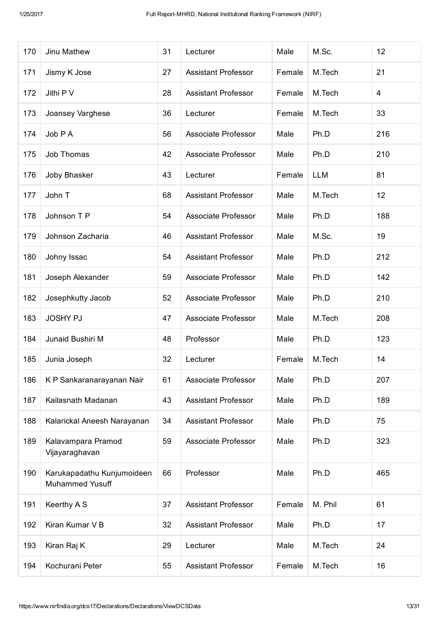| 170 | Jinu Mathew                                   | 31 | Lecturer                   | Male   | M.Sc.      | 12  |
|-----|-----------------------------------------------|----|----------------------------|--------|------------|-----|
| 171 | Jismy K Jose                                  | 27 | <b>Assistant Professor</b> | Female | M.Tech     | 21  |
| 172 | Jithi P V                                     | 28 | <b>Assistant Professor</b> | Female | M.Tech     | 4   |
| 173 | Joansey Varghese                              | 36 | Lecturer                   | Female | M.Tech     | 33  |
| 174 | Job P A                                       | 56 | <b>Associate Professor</b> | Male   | Ph.D       | 216 |
| 175 | Job Thomas                                    | 42 | Associate Professor        | Male   | Ph.D       | 210 |
| 176 | Joby Bhasker                                  | 43 | Lecturer                   | Female | <b>LLM</b> | 81  |
| 177 | John T                                        | 68 | <b>Assistant Professor</b> | Male   | M.Tech     | 12  |
| 178 | Johnson T P                                   | 54 | <b>Associate Professor</b> | Male   | Ph.D       | 188 |
| 179 | Johnson Zacharia                              | 46 | <b>Assistant Professor</b> | Male   | M.Sc.      | 19  |
| 180 | Johny Issac                                   | 54 | <b>Assistant Professor</b> | Male   | Ph.D       | 212 |
| 181 | Joseph Alexander                              | 59 | <b>Associate Professor</b> | Male   | Ph.D       | 142 |
| 182 | Josephkutty Jacob                             | 52 | Associate Professor        | Male   | Ph.D       | 210 |
| 183 | <b>JOSHY PJ</b>                               | 47 | Associate Professor        | Male   | M.Tech     | 208 |
| 184 | Junaid Bushiri M                              | 48 | Professor                  | Male   | Ph.D       | 123 |
| 185 | Junia Joseph                                  | 32 | Lecturer                   | Female | M.Tech     | 14  |
| 186 | K P Sankaranarayanan Nair                     | 61 | Associate Professor        | Male   | Ph.D       | 207 |
| 187 | Kailasnath Madanan                            | 43 | <b>Assistant Professor</b> | Male   | Ph.D       | 189 |
| 188 | Kalarickal Aneesh Narayanan                   | 34 | <b>Assistant Professor</b> | Male   | Ph.D       | 75  |
| 189 | Kalavampara Pramod<br>Vijayaraghavan          | 59 | Associate Professor        | Male   | Ph.D       | 323 |
| 190 | Karukapadathu Kunjumoideen<br>Muhammed Yusuff | 66 | Professor                  | Male   | Ph.D       | 465 |
| 191 | Keerthy A S                                   | 37 | <b>Assistant Professor</b> | Female | M. Phil    | 61  |
| 192 | Kiran Kumar V B                               | 32 | <b>Assistant Professor</b> | Male   | Ph.D       | 17  |
| 193 | Kiran Raj K                                   | 29 | Lecturer                   | Male   | M.Tech     | 24  |
| 194 | Kochurani Peter                               | 55 | <b>Assistant Professor</b> | Female | M.Tech     | 16  |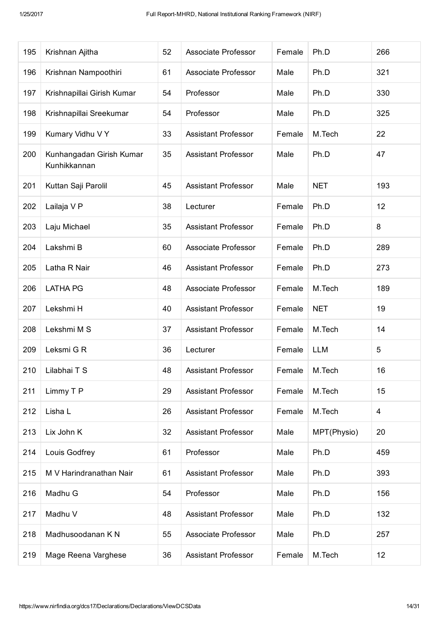| 195 | Krishnan Ajitha                          | 52 | Associate Professor        | Female | Ph.D        | 266            |
|-----|------------------------------------------|----|----------------------------|--------|-------------|----------------|
| 196 | Krishnan Nampoothiri                     | 61 | Associate Professor        | Male   | Ph.D        | 321            |
| 197 | Krishnapillai Girish Kumar               | 54 | Professor                  | Male   | Ph.D        | 330            |
| 198 | Krishnapillai Sreekumar                  | 54 | Professor                  | Male   | Ph.D        | 325            |
| 199 | Kumary Vidhu V Y                         | 33 | <b>Assistant Professor</b> | Female | M.Tech      | 22             |
| 200 | Kunhangadan Girish Kumar<br>Kunhikkannan | 35 | <b>Assistant Professor</b> | Male   | Ph.D        | 47             |
| 201 | Kuttan Saji Parolil                      | 45 | <b>Assistant Professor</b> | Male   | <b>NET</b>  | 193            |
| 202 | Lailaja V P                              | 38 | Lecturer                   | Female | Ph.D        | 12             |
| 203 | Laju Michael                             | 35 | <b>Assistant Professor</b> | Female | Ph.D        | 8              |
| 204 | Lakshmi B                                | 60 | Associate Professor        | Female | Ph.D        | 289            |
| 205 | Latha R Nair                             | 46 | <b>Assistant Professor</b> | Female | Ph.D        | 273            |
| 206 | <b>LATHA PG</b>                          | 48 | Associate Professor        | Female | M.Tech      | 189            |
| 207 | Lekshmi H                                | 40 | <b>Assistant Professor</b> | Female | <b>NET</b>  | 19             |
| 208 | Lekshmi M S                              | 37 | <b>Assistant Professor</b> | Female | M.Tech      | 14             |
| 209 | Leksmi G R                               | 36 | Lecturer                   | Female | <b>LLM</b>  | 5              |
| 210 | Lilabhai T S                             | 48 | <b>Assistant Professor</b> | Female | M.Tech      | 16             |
| 211 | Limmy T P                                | 29 | <b>Assistant Professor</b> | Female | M.Tech      | 15             |
| 212 | Lisha L                                  | 26 | <b>Assistant Professor</b> | Female | M.Tech      | $\overline{4}$ |
| 213 | Lix John K                               | 32 | <b>Assistant Professor</b> | Male   | MPT(Physio) | 20             |
| 214 | Louis Godfrey                            | 61 | Professor                  | Male   | Ph.D        | 459            |
| 215 | M V Harindranathan Nair                  | 61 | <b>Assistant Professor</b> | Male   | Ph.D        | 393            |
| 216 | Madhu G                                  | 54 | Professor                  | Male   | Ph.D        | 156            |
| 217 | Madhu V                                  | 48 | <b>Assistant Professor</b> | Male   | Ph.D        | 132            |
| 218 | Madhusoodanan K N                        | 55 | Associate Professor        | Male   | Ph.D        | 257            |
| 219 | Mage Reena Varghese                      | 36 | <b>Assistant Professor</b> | Female | M.Tech      | 12             |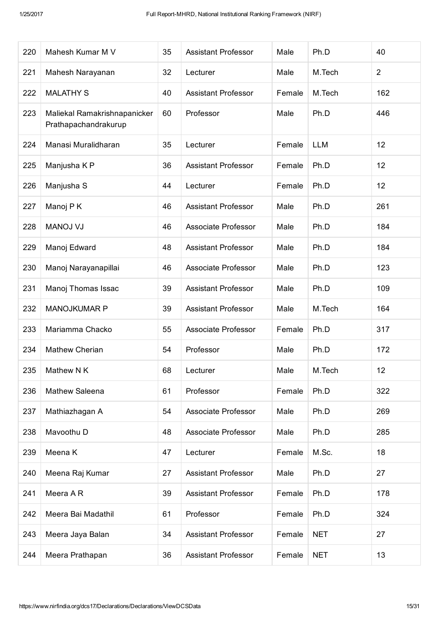| 220 | Mahesh Kumar M V                                     | 35 | <b>Assistant Professor</b> | Male   | Ph.D       | 40             |
|-----|------------------------------------------------------|----|----------------------------|--------|------------|----------------|
| 221 | Mahesh Narayanan                                     | 32 | Lecturer                   | Male   | M.Tech     | $\overline{2}$ |
| 222 | <b>MALATHY S</b>                                     | 40 | <b>Assistant Professor</b> | Female | M.Tech     | 162            |
| 223 | Maliekal Ramakrishnapanicker<br>Prathapachandrakurup | 60 | Professor                  | Male   | Ph.D       | 446            |
| 224 | Manasi Muralidharan                                  | 35 | Lecturer                   | Female | <b>LLM</b> | 12             |
| 225 | Manjusha K P                                         | 36 | <b>Assistant Professor</b> | Female | Ph.D       | 12             |
| 226 | Manjusha S                                           | 44 | Lecturer                   | Female | Ph.D       | 12             |
| 227 | Manoj P K                                            | 46 | <b>Assistant Professor</b> | Male   | Ph.D       | 261            |
| 228 | <b>MANOJ VJ</b>                                      | 46 | Associate Professor        | Male   | Ph.D       | 184            |
| 229 | Manoj Edward                                         | 48 | <b>Assistant Professor</b> | Male   | Ph.D       | 184            |
| 230 | Manoj Narayanapillai                                 | 46 | Associate Professor        | Male   | Ph.D       | 123            |
| 231 | Manoj Thomas Issac                                   | 39 | <b>Assistant Professor</b> | Male   | Ph.D       | 109            |
| 232 | <b>MANOJKUMAR P</b>                                  | 39 | <b>Assistant Professor</b> | Male   | M.Tech     | 164            |
| 233 | Mariamma Chacko                                      | 55 | Associate Professor        | Female | Ph.D       | 317            |
| 234 | <b>Mathew Cherian</b>                                | 54 | Professor                  | Male   | Ph.D       | 172            |
| 235 | Mathew N K                                           | 68 | Lecturer                   | Male   | M.Tech     | 12             |
| 236 | Mathew Saleena                                       | 61 | Professor                  | Female | Ph.D       | 322            |
| 237 | Mathiazhagan A                                       | 54 | Associate Professor        | Male   | Ph.D       | 269            |
| 238 | Mavoothu D                                           | 48 | Associate Professor        | Male   | Ph.D       | 285            |
| 239 | Meena K                                              | 47 | Lecturer                   | Female | M.Sc.      | 18             |
| 240 | Meena Raj Kumar                                      | 27 | <b>Assistant Professor</b> | Male   | Ph.D       | 27             |
| 241 | Meera AR                                             | 39 | <b>Assistant Professor</b> | Female | Ph.D       | 178            |
| 242 | Meera Bai Madathil                                   | 61 | Professor                  | Female | Ph.D       | 324            |
| 243 | Meera Jaya Balan                                     | 34 | <b>Assistant Professor</b> | Female | <b>NET</b> | 27             |
| 244 | Meera Prathapan                                      | 36 | <b>Assistant Professor</b> | Female | <b>NET</b> | 13             |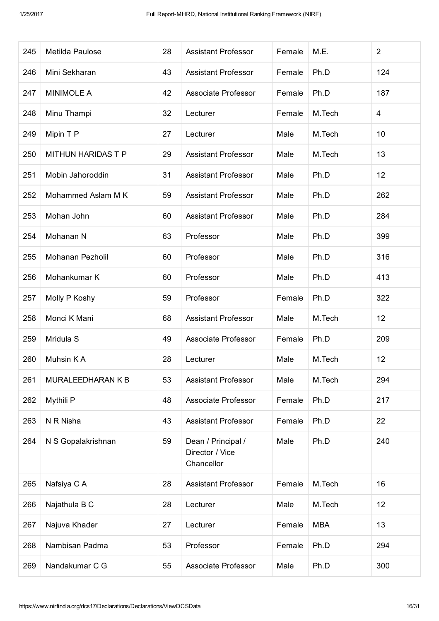| 245 | Metilda Paulose           | 28 | <b>Assistant Professor</b>                          | Female | M.E.       | $\overline{2}$ |
|-----|---------------------------|----|-----------------------------------------------------|--------|------------|----------------|
| 246 | Mini Sekharan             | 43 | <b>Assistant Professor</b>                          | Female | Ph.D       | 124            |
| 247 | <b>MINIMOLE A</b>         | 42 | Associate Professor                                 | Female | Ph.D       | 187            |
| 248 | Minu Thampi               | 32 | Lecturer                                            | Female | M.Tech     | 4              |
| 249 | Mipin T P                 | 27 | Lecturer                                            | Male   | M.Tech     | 10             |
| 250 | <b>MITHUN HARIDAS T P</b> | 29 | <b>Assistant Professor</b>                          | Male   | M.Tech     | 13             |
| 251 | Mobin Jahoroddin          | 31 | <b>Assistant Professor</b>                          | Male   | Ph.D       | 12             |
| 252 | Mohammed Aslam M K        | 59 | <b>Assistant Professor</b>                          | Male   | Ph.D       | 262            |
| 253 | Mohan John                | 60 | <b>Assistant Professor</b>                          | Male   | Ph.D       | 284            |
| 254 | Mohanan N                 | 63 | Professor                                           | Male   | Ph.D       | 399            |
| 255 | <b>Mohanan Pezholil</b>   | 60 | Professor                                           | Male   | Ph.D       | 316            |
| 256 | Mohankumar K              | 60 | Professor                                           | Male   | Ph.D       | 413            |
| 257 | Molly P Koshy             | 59 | Professor                                           | Female | Ph.D       | 322            |
| 258 | Monci K Mani              | 68 | <b>Assistant Professor</b>                          | Male   | M.Tech     | 12             |
| 259 | Mridula S                 | 49 | Associate Professor                                 | Female | Ph.D       | 209            |
| 260 | Muhsin KA                 | 28 | Lecturer                                            | Male   | M.Tech     | 12             |
| 261 | MURALEEDHARAN K B         | 53 | <b>Assistant Professor</b>                          | Male   | M.Tech     | 294            |
| 262 | Mythili P                 | 48 | Associate Professor                                 | Female | Ph.D       | 217            |
| 263 | N R Nisha                 | 43 | <b>Assistant Professor</b>                          | Female | Ph.D       | 22             |
| 264 | N S Gopalakrishnan        | 59 | Dean / Principal /<br>Director / Vice<br>Chancellor | Male   | Ph.D       | 240            |
| 265 | Nafsiya C A               | 28 | <b>Assistant Professor</b>                          | Female | M.Tech     | 16             |
| 266 | Najathula B C             | 28 | Lecturer                                            | Male   | M.Tech     | 12             |
| 267 | Najuva Khader             | 27 | Lecturer                                            | Female | <b>MBA</b> | 13             |
| 268 | Nambisan Padma            | 53 | Professor                                           | Female | Ph.D       | 294            |
| 269 | Nandakumar C G            | 55 | Associate Professor                                 | Male   | Ph.D       | 300            |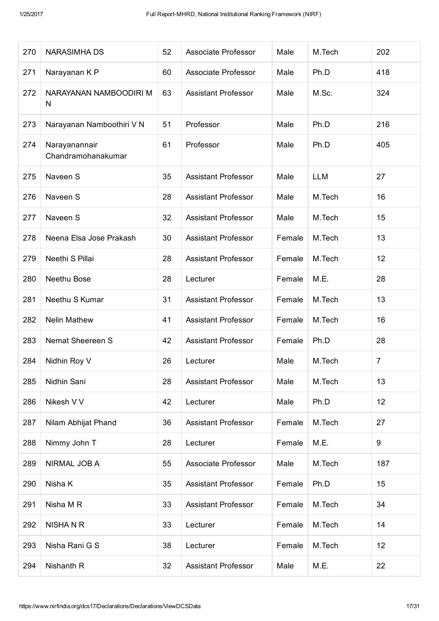| 270 | <b>NARASIMHA DS</b>                 | 52 | Associate Professor        | Male   | M.Tech     | 202              |
|-----|-------------------------------------|----|----------------------------|--------|------------|------------------|
| 271 | Narayanan K P                       | 60 | Associate Professor        | Male   | Ph.D       | 418              |
| 272 | NARAYANAN NAMBOODIRI M<br>N         | 63 | <b>Assistant Professor</b> | Male   | M.Sc.      | 324              |
| 273 | Narayanan Namboothiri V N           | 51 | Professor                  | Male   | Ph.D       | 216              |
| 274 | Narayanannair<br>Chandramohanakumar | 61 | Professor                  | Male   | Ph.D       | 405              |
| 275 | Naveen S                            | 35 | <b>Assistant Professor</b> | Male   | <b>LLM</b> | 27               |
| 276 | Naveen S                            | 28 | <b>Assistant Professor</b> | Male   | M.Tech     | 16               |
| 277 | Naveen S                            | 32 | <b>Assistant Professor</b> | Male   | M.Tech     | 15               |
| 278 | Neena Elsa Jose Prakash             | 30 | <b>Assistant Professor</b> | Female | M.Tech     | 13               |
| 279 | Neethi S Pillai                     | 28 | <b>Assistant Professor</b> | Female | M.Tech     | 12               |
| 280 | Neethu Bose                         | 28 | Lecturer                   | Female | M.E.       | 28               |
| 281 | Neethu S Kumar                      | 31 | <b>Assistant Professor</b> | Female | M.Tech     | 13               |
| 282 | <b>Nelin Mathew</b>                 | 41 | <b>Assistant Professor</b> | Female | M.Tech     | 16               |
| 283 | Nemat Sheereen S                    | 42 | <b>Assistant Professor</b> | Female | Ph.D       | 28               |
| 284 | Nidhin Roy V                        | 26 | Lecturer                   | Male   | M.Tech     | $\overline{7}$   |
| 285 | Nidhin Sani                         | 28 | <b>Assistant Professor</b> | Male   | M.Tech     | 13               |
| 286 | Nikesh V V                          | 42 | Lecturer                   | Male   | Ph.D       | 12               |
| 287 | Nilam Abhijat Phand                 | 36 | <b>Assistant Professor</b> | Female | M.Tech     | 27               |
| 288 | Nimmy John T                        | 28 | Lecturer                   | Female | M.E.       | $\boldsymbol{9}$ |
| 289 | NIRMAL JOB A                        | 55 | Associate Professor        | Male   | M.Tech     | 187              |
| 290 | Nisha K                             | 35 | <b>Assistant Professor</b> | Female | Ph.D       | 15               |
| 291 | Nisha M R                           | 33 | <b>Assistant Professor</b> | Female | M.Tech     | 34               |
| 292 | <b>NISHANR</b>                      | 33 | Lecturer                   | Female | M.Tech     | 14               |
| 293 | Nisha Rani G S                      | 38 | Lecturer                   | Female | M.Tech     | 12               |
| 294 | Nishanth R                          | 32 | <b>Assistant Professor</b> | Male   | M.E.       | 22               |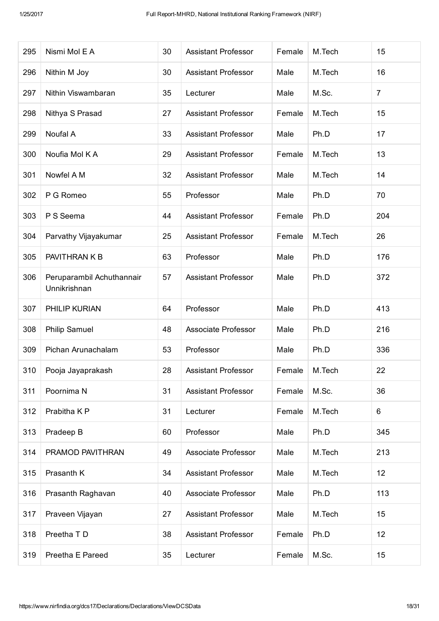| 295 | Nismi Mol E A                             | 30 | <b>Assistant Professor</b>                 | Female       | M.Tech | 15             |
|-----|-------------------------------------------|----|--------------------------------------------|--------------|--------|----------------|
| 296 | Nithin M Joy                              | 30 | <b>Assistant Professor</b>                 | Male         | M.Tech | 16             |
| 297 | Nithin Viswambaran                        | 35 | Lecturer                                   | Male         | M.Sc.  | $\overline{7}$ |
| 298 | Nithya S Prasad                           | 27 | <b>Assistant Professor</b>                 | Female       | M.Tech | 15             |
| 299 | Noufal A                                  | 33 | <b>Assistant Professor</b>                 | Male         | Ph.D   | 17             |
| 300 | Noufia Mol K A                            | 29 | <b>Assistant Professor</b>                 | Female       | M.Tech | 13             |
| 301 | Nowfel A M                                | 32 | <b>Assistant Professor</b>                 | Male         | M.Tech | 14             |
| 302 | P G Romeo                                 | 55 | Professor                                  | Male         | Ph.D   | 70             |
| 303 | P S Seema                                 | 44 | <b>Assistant Professor</b>                 | Female       | Ph.D   | 204            |
| 304 | Parvathy Vijayakumar                      | 25 | <b>Assistant Professor</b>                 | Female       | M.Tech | 26             |
| 305 | PAVITHRAN K B                             | 63 | Professor                                  | Male<br>Ph.D |        | 176            |
| 306 | Peruparambil Achuthannair<br>Unnikrishnan | 57 | Ph.D<br><b>Assistant Professor</b><br>Male |              |        | 372            |
| 307 | PHILIP KURIAN                             | 64 | Professor<br>Male<br>Ph.D                  |              |        | 413            |
| 308 | <b>Philip Samuel</b>                      | 48 | Associate Professor                        | Male         | Ph.D   | 216            |
| 309 | Pichan Arunachalam                        | 53 | Professor                                  | Male         | Ph.D   | 336            |
| 310 | Pooja Jayaprakash                         | 28 | Assistant Professor                        | Female       | M.Tech | 22             |
| 311 | Poornima N                                | 31 | <b>Assistant Professor</b>                 | Female       | M.Sc.  | 36             |
| 312 | Prabitha K P                              | 31 | Lecturer                                   | Female       | M.Tech | 6              |
| 313 | Pradeep B                                 | 60 | Professor                                  | Male         | Ph.D   | 345            |
| 314 | PRAMOD PAVITHRAN                          | 49 | Associate Professor                        | Male         | M.Tech | 213            |
| 315 | Prasanth K                                | 34 | <b>Assistant Professor</b>                 | Male         | M.Tech | 12             |
| 316 | Prasanth Raghavan                         | 40 | Associate Professor                        | Male         | Ph.D   | 113            |
| 317 | Praveen Vijayan                           | 27 | <b>Assistant Professor</b>                 | Male         | M.Tech | 15             |
| 318 | Preetha T D                               | 38 | <b>Assistant Professor</b>                 | Female       | Ph.D   | 12             |
| 319 | Preetha E Pareed                          | 35 | Lecturer                                   | Female       | M.Sc.  | 15             |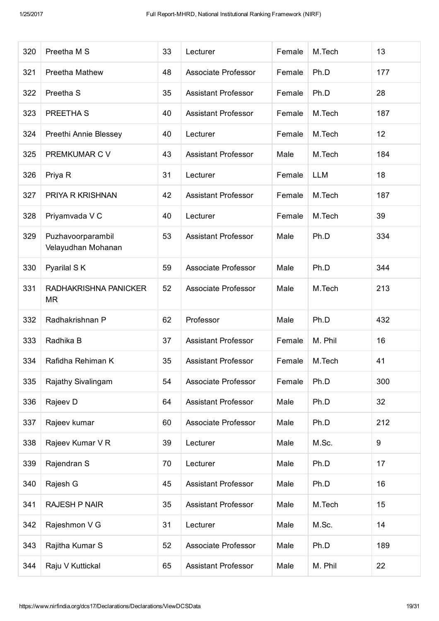| 320 | Preetha M S                             | 33 | Lecturer                   | Female         | M.Tech     | 13  |
|-----|-----------------------------------------|----|----------------------------|----------------|------------|-----|
| 321 | Preetha Mathew                          | 48 | Associate Professor        | Female         | Ph.D       | 177 |
| 322 | Preetha <sub>S</sub>                    | 35 | <b>Assistant Professor</b> | Female         | Ph.D       | 28  |
| 323 | PREETHA S                               | 40 | <b>Assistant Professor</b> | Female         | M.Tech     | 187 |
| 324 | Preethi Annie Blessey                   | 40 | Lecturer                   | Female         | M.Tech     | 12  |
| 325 | PREMKUMAR C V                           | 43 | <b>Assistant Professor</b> | Male           | M.Tech     | 184 |
| 326 | Priya R                                 | 31 | Lecturer                   | Female         | <b>LLM</b> | 18  |
| 327 | PRIYA R KRISHNAN                        | 42 | <b>Assistant Professor</b> | Female         | M.Tech     | 187 |
| 328 | Priyamvada V C                          | 40 | Lecturer                   | Female         | M.Tech     | 39  |
| 329 | Puzhavoorparambil<br>Velayudhan Mohanan | 53 | <b>Assistant Professor</b> | Male           | Ph.D       | 334 |
| 330 | Pyarilal SK                             | 59 | Associate Professor        | Male<br>Ph.D   |            | 344 |
| 331 | RADHAKRISHNA PANICKER<br><b>MR</b>      | 52 | Associate Professor        | M.Tech<br>Male |            | 213 |
| 332 | Radhakrishnan P                         | 62 | Professor<br>Male<br>Ph.D  |                |            | 432 |
| 333 | Radhika B                               | 37 | <b>Assistant Professor</b> | Female         | M. Phil    | 16  |
| 334 | Rafidha Rehiman K                       | 35 | <b>Assistant Professor</b> | Female         | M.Tech     | 41  |
| 335 | Rajathy Sivalingam                      | 54 | Associate Professor        | Female         | Ph.D       | 300 |
| 336 | Rajeev D                                | 64 | <b>Assistant Professor</b> | Male           | Ph.D       | 32  |
| 337 | Rajeev kumar                            | 60 | Associate Professor        | Male           | Ph.D       | 212 |
| 338 | Rajeev Kumar V R                        | 39 | Lecturer                   | Male           | M.Sc.      | 9   |
| 339 | Rajendran S                             | 70 | Lecturer                   | Male           | Ph.D       | 17  |
| 340 | Rajesh G                                | 45 | <b>Assistant Professor</b> | Male           | Ph.D       | 16  |
| 341 | <b>RAJESH P NAIR</b>                    | 35 | <b>Assistant Professor</b> | Male           | M.Tech     | 15  |
| 342 | Rajeshmon V G                           | 31 | Lecturer                   | Male           | M.Sc.      | 14  |
| 343 | Rajitha Kumar S                         | 52 | Associate Professor        | Male           | Ph.D       | 189 |
| 344 | Raju V Kuttickal                        | 65 | <b>Assistant Professor</b> | Male           | M. Phil    | 22  |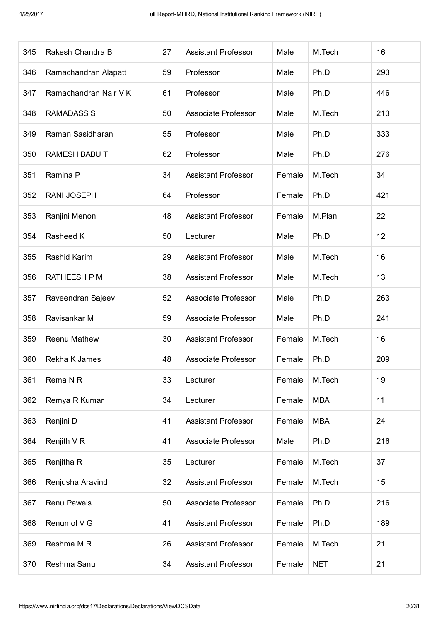| 345 | Rakesh Chandra B      | 27 | M.Tech<br><b>Assistant Professor</b><br>Male |                |            | 16  |
|-----|-----------------------|----|----------------------------------------------|----------------|------------|-----|
| 346 | Ramachandran Alapatt  | 59 | Professor                                    | Male           | Ph.D       | 293 |
| 347 | Ramachandran Nair V K | 61 | Professor                                    | Male           | Ph.D       | 446 |
| 348 | <b>RAMADASS S</b>     | 50 | Associate Professor                          | Male           | M.Tech     | 213 |
| 349 | Raman Sasidharan      | 55 | Professor                                    | Male           | Ph.D       | 333 |
| 350 | <b>RAMESH BABUT</b>   | 62 | Professor                                    | Male           | Ph.D       | 276 |
| 351 | Ramina P              | 34 | <b>Assistant Professor</b>                   | Female         | M.Tech     | 34  |
| 352 | <b>RANI JOSEPH</b>    | 64 | Professor                                    | Female         | Ph.D       | 421 |
| 353 | Ranjini Menon         | 48 | <b>Assistant Professor</b>                   | Female         | M.Plan     | 22  |
| 354 | Rasheed K             | 50 | Lecturer                                     | Male           | Ph.D       | 12  |
| 355 | Rashid Karim          | 29 | <b>Assistant Professor</b>                   | M.Tech<br>Male |            | 16  |
| 356 | <b>RATHEESH P M</b>   | 38 | <b>Assistant Professor</b><br>Male           |                | M.Tech     | 13  |
| 357 | Raveendran Sajeev     | 52 | Ph.D<br>Associate Professor<br>Male          |                |            | 263 |
| 358 | Ravisankar M          | 59 | <b>Associate Professor</b><br>Male           |                | Ph.D       | 241 |
| 359 | <b>Reenu Mathew</b>   | 30 | <b>Assistant Professor</b>                   | Female         | M.Tech     | 16  |
| 360 | Rekha K James         | 48 | Associate Professor                          | Female         | Ph.D       | 209 |
| 361 | Rema N R              | 33 | Lecturer                                     | Female         | M.Tech     | 19  |
| 362 | Remya R Kumar         | 34 | Lecturer                                     | Female         | <b>MBA</b> | 11  |
| 363 | Renjini D             | 41 | <b>Assistant Professor</b>                   | Female         | <b>MBA</b> | 24  |
| 364 | Renjith V R           | 41 | Associate Professor                          | Male           | Ph.D       | 216 |
| 365 | Renjitha R            | 35 | Lecturer                                     | Female         | M.Tech     | 37  |
| 366 | Renjusha Aravind      | 32 | <b>Assistant Professor</b>                   | Female         | M.Tech     | 15  |
| 367 | Renu Pawels           | 50 | Associate Professor                          | Female         | Ph.D       | 216 |
| 368 | Renumol V G           | 41 | <b>Assistant Professor</b>                   | Female         | Ph.D       | 189 |
| 369 | Reshma M R            | 26 | <b>Assistant Professor</b>                   | Female         | M.Tech     | 21  |
| 370 | Reshma Sanu           | 34 | <b>Assistant Professor</b>                   | Female         | <b>NET</b> | 21  |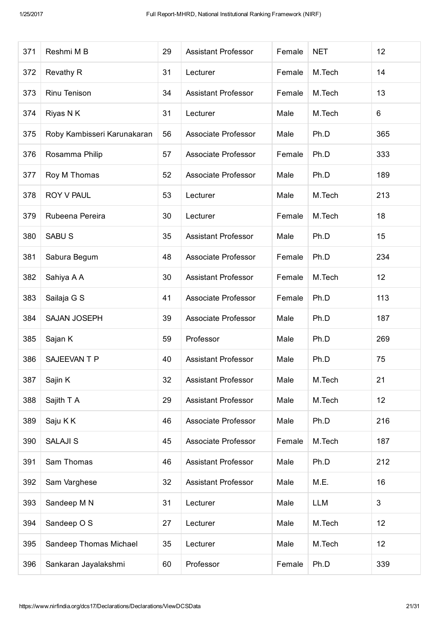| 371 | Reshmi M B                  | 29 | <b>Assistant Professor</b>          | Female           | <b>NET</b> | 12  |
|-----|-----------------------------|----|-------------------------------------|------------------|------------|-----|
| 372 | <b>Revathy R</b>            | 31 | Lecturer                            | Female           | M.Tech     | 14  |
| 373 | Rinu Tenison                | 34 | <b>Assistant Professor</b>          | Female           | M.Tech     | 13  |
| 374 | Riyas N K                   | 31 | Lecturer                            | Male             | M.Tech     | 6   |
| 375 | Roby Kambisseri Karunakaran | 56 | Associate Professor                 | Male             | Ph.D       | 365 |
| 376 | Rosamma Philip              | 57 | Associate Professor                 | Female           | Ph.D       | 333 |
| 377 | Roy M Thomas                | 52 | <b>Associate Professor</b>          | Male             | Ph.D       | 189 |
| 378 | ROY V PAUL                  | 53 | Lecturer                            | Male             | M.Tech     | 213 |
| 379 | Rubeena Pereira             | 30 | Lecturer                            | Female           | M.Tech     | 18  |
| 380 | <b>SABUS</b>                | 35 | <b>Assistant Professor</b>          | Male             | Ph.D       | 15  |
| 381 | Sabura Begum                | 48 | Associate Professor                 | Female<br>Ph.D   |            | 234 |
| 382 | Sahiya A A                  | 30 | <b>Assistant Professor</b>          | M.Tech<br>Female |            | 12  |
| 383 | Sailaja G S                 | 41 | <b>Associate Professor</b>          | Female<br>Ph.D   |            | 113 |
| 384 | <b>SAJAN JOSEPH</b>         | 39 | Male<br>Ph.D<br>Associate Professor |                  |            | 187 |
| 385 | Sajan K                     | 59 | Professor                           | Male             | Ph.D       | 269 |
| 386 | SAJEEVAN T P                | 40 | <b>Assistant Professor</b>          | Male             | Ph.D       | 75  |
| 387 | Sajin K                     | 32 | <b>Assistant Professor</b>          | Male             | M.Tech     | 21  |
| 388 | Sajith T A                  | 29 | <b>Assistant Professor</b>          | Male             | M.Tech     | 12  |
| 389 | Saju KK                     | 46 | Associate Professor                 | Male             | Ph.D       | 216 |
| 390 | <b>SALAJI S</b>             | 45 | Associate Professor                 | Female           | M.Tech     | 187 |
| 391 | Sam Thomas                  | 46 | <b>Assistant Professor</b>          | Male             | Ph.D       | 212 |
| 392 | Sam Varghese                | 32 | <b>Assistant Professor</b>          | Male             | M.E.       | 16  |
| 393 | Sandeep M N                 | 31 | Lecturer                            | Male             | <b>LLM</b> | 3   |
| 394 | Sandeep O S                 | 27 | Lecturer                            | Male             | M.Tech     | 12  |
| 395 | Sandeep Thomas Michael      | 35 | Lecturer                            | Male             | M.Tech     | 12  |
| 396 | Sankaran Jayalakshmi        | 60 | Professor                           | Female           | Ph.D       | 339 |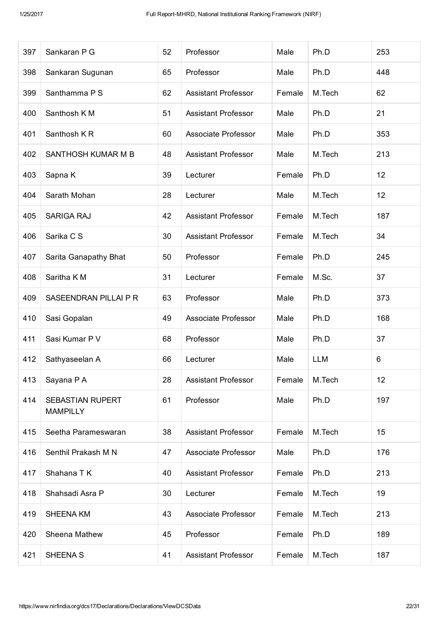| 397 | Sankaran P G                        | 52 | Professor                  | Male           | Ph.D       | 253 |
|-----|-------------------------------------|----|----------------------------|----------------|------------|-----|
| 398 | Sankaran Sugunan                    | 65 | Professor                  | Male           | Ph.D       | 448 |
| 399 | Santhamma P S                       | 62 | <b>Assistant Professor</b> | Female         | M.Tech     | 62  |
| 400 | Santhosh K M                        | 51 | <b>Assistant Professor</b> | Male           | Ph.D       | 21  |
| 401 | Santhosh KR                         | 60 | Associate Professor        | Male           | Ph.D       | 353 |
| 402 | SANTHOSH KUMAR M B                  | 48 | <b>Assistant Professor</b> | Male           | M.Tech     | 213 |
| 403 | Sapna K                             | 39 | Lecturer                   | Female         | Ph.D       | 12  |
| 404 | Sarath Mohan                        | 28 | Lecturer                   | Male           | M.Tech     | 12  |
| 405 | <b>SARIGA RAJ</b>                   | 42 | <b>Assistant Professor</b> | Female         | M.Tech     | 187 |
| 406 | Sarika C S                          | 30 | <b>Assistant Professor</b> | Female         | M.Tech     | 34  |
| 407 | Sarita Ganapathy Bhat               | 50 | Professor                  | Female<br>Ph.D |            | 245 |
| 408 | Saritha K M                         | 31 | Lecturer<br>Female         |                | M.Sc.      | 37  |
| 409 | SASEENDRAN PILLAI P R               | 63 | Professor                  | Male           | Ph.D       | 373 |
| 410 | Sasi Gopalan                        | 49 | Associate Professor        | Male           | Ph.D       | 168 |
| 411 | Sasi Kumar P V                      | 68 | Professor                  | Male           | Ph.D       | 37  |
| 412 | Sathyaseelan A                      | 66 | Lecturer                   | Male           | <b>LLM</b> | 6   |
| 413 | Sayana P A                          | 28 | <b>Assistant Professor</b> | Female         | M.Tech     | 12  |
| 414 | SEBASTIAN RUPERT<br><b>MAMPILLY</b> | 61 | Professor                  | Male           | Ph.D       | 197 |
| 415 | Seetha Parameswaran                 | 38 | <b>Assistant Professor</b> | Female         | M.Tech     | 15  |
| 416 | Senthil Prakash M N                 | 47 | Associate Professor        | Male           | Ph.D       | 176 |
| 417 | Shahana T K                         | 40 | <b>Assistant Professor</b> | Female         | Ph.D       | 213 |
| 418 | Shahsadi Asra P                     | 30 | Lecturer                   | Female         | M.Tech     | 19  |
| 419 | <b>SHEENA KM</b>                    | 43 | Associate Professor        | Female         | M.Tech     | 213 |
| 420 | Sheena Mathew                       | 45 | Professor                  | Female         | Ph.D       | 189 |
| 421 | SHEENA S                            | 41 | <b>Assistant Professor</b> | Female         | M.Tech     | 187 |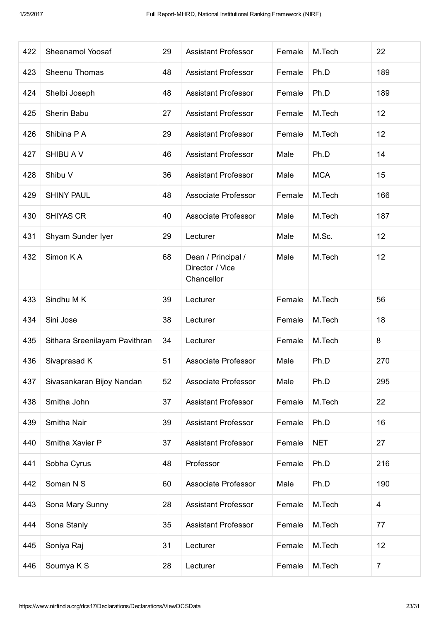| 422 | Sheenamol Yoosaf              | 29 | <b>Assistant Professor</b>                                            | Female           | M.Tech     | 22             |
|-----|-------------------------------|----|-----------------------------------------------------------------------|------------------|------------|----------------|
| 423 | Sheenu Thomas                 | 48 | <b>Assistant Professor</b>                                            | Female           | Ph.D       | 189            |
| 424 | Shelbi Joseph                 | 48 | <b>Assistant Professor</b>                                            | Female           | Ph.D       | 189            |
| 425 | Sherin Babu                   | 27 | <b>Assistant Professor</b>                                            | Female           | M.Tech     | 12             |
| 426 | Shibina P A                   | 29 | <b>Assistant Professor</b>                                            | Female           | M.Tech     | 12             |
| 427 | SHIBU A V                     | 46 | <b>Assistant Professor</b>                                            | Male             | Ph.D       | 14             |
| 428 | Shibu V                       | 36 | <b>Assistant Professor</b>                                            | Male             | <b>MCA</b> | 15             |
| 429 | <b>SHINY PAUL</b>             | 48 | Associate Professor                                                   | Female           | M.Tech     | 166            |
| 430 | <b>SHIYAS CR</b>              | 40 | Associate Professor                                                   | Male             | M.Tech     | 187            |
| 431 | Shyam Sunder Iyer             | 29 | Lecturer                                                              | Male             | M.Sc.      | 12             |
| 432 | Simon KA                      | 68 | Male<br>M.Tech<br>Dean / Principal /<br>Director / Vice<br>Chancellor |                  |            | 12             |
| 433 | Sindhu M K                    | 39 | Lecturer                                                              | M.Tech<br>Female |            | 56             |
| 434 | Sini Jose                     | 38 | M.Tech<br>Lecturer<br>Female                                          |                  |            | 18             |
| 435 | Sithara Sreenilayam Pavithran | 34 | Lecturer                                                              | Female           | M.Tech     | 8              |
| 436 | Sivaprasad K                  | 51 | Associate Professor                                                   | Male             | Ph.D       | 270            |
| 437 | Sivasankaran Bijoy Nandan     | 52 | Associate Professor                                                   | Male             | Ph.D       | 295            |
| 438 | Smitha John                   | 37 | <b>Assistant Professor</b>                                            | Female           | M.Tech     | 22             |
| 439 | Smitha Nair                   | 39 | <b>Assistant Professor</b>                                            | Female           | Ph.D       | 16             |
| 440 | Smitha Xavier P               | 37 | <b>Assistant Professor</b>                                            | Female           | <b>NET</b> | 27             |
| 441 | Sobha Cyrus                   | 48 | Professor                                                             | Female           | Ph.D       | 216            |
| 442 | Soman N S                     | 60 | Associate Professor                                                   | Male             | Ph.D       | 190            |
| 443 | Sona Mary Sunny               | 28 | <b>Assistant Professor</b>                                            | Female           | M.Tech     | 4              |
| 444 | Sona Stanly                   | 35 | <b>Assistant Professor</b>                                            | Female           | M.Tech     | 77             |
| 445 | Soniya Raj                    | 31 | Lecturer                                                              | Female           | M.Tech     | 12             |
| 446 | Soumya K S                    | 28 | Lecturer                                                              | Female           | M.Tech     | $\overline{7}$ |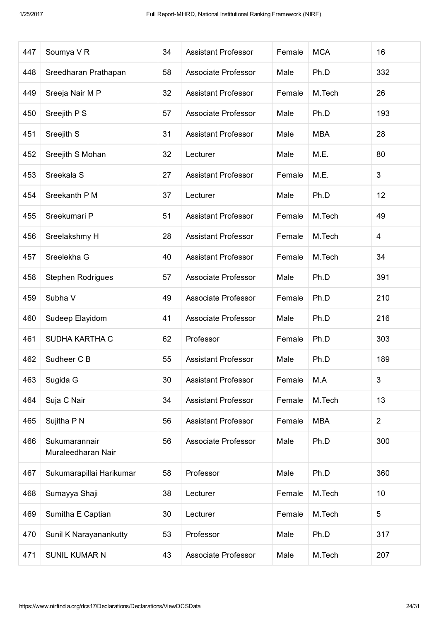| 447 | Soumya VR                           | 34 | <b>Assistant Professor</b>                     | Female | <b>MCA</b> | 16             |
|-----|-------------------------------------|----|------------------------------------------------|--------|------------|----------------|
| 448 | Sreedharan Prathapan                | 58 | Associate Professor                            | Male   | Ph.D       | 332            |
| 449 | Sreeja Nair M P                     | 32 | <b>Assistant Professor</b>                     | Female | M.Tech     | 26             |
| 450 | Sreejith P S                        | 57 | Associate Professor                            | Male   | Ph.D       | 193            |
| 451 | Sreejith S                          | 31 | <b>Assistant Professor</b>                     | Male   | <b>MBA</b> | 28             |
| 452 | Sreejith S Mohan                    | 32 | Lecturer                                       | Male   | M.E.       | 80             |
| 453 | Sreekala S                          | 27 | <b>Assistant Professor</b>                     | Female | M.E.       | 3              |
| 454 | Sreekanth P M                       | 37 | Lecturer                                       | Male   | Ph.D       | 12             |
| 455 | Sreekumari P                        | 51 | <b>Assistant Professor</b>                     | Female | M.Tech     | 49             |
| 456 | Sreelakshmy H                       | 28 | <b>Assistant Professor</b>                     | Female | M.Tech     | 4              |
| 457 | Sreelekha G                         | 40 | Female<br>M.Tech<br><b>Assistant Professor</b> |        |            | 34             |
| 458 | Stephen Rodrigues                   | 57 | Associate Professor<br>Male                    |        | Ph.D       | 391            |
| 459 | Subha V                             | 49 | Associate Professor<br>Female                  |        | Ph.D       | 210            |
| 460 | Sudeep Elayidom                     | 41 | Associate Professor                            | Male   | Ph.D       | 216            |
| 461 | SUDHA KARTHA C                      | 62 | Professor                                      | Female | Ph.D       | 303            |
| 462 | Sudheer C B                         | 55 | <b>Assistant Professor</b>                     | Male   | Ph.D       | 189            |
| 463 | Sugida G                            | 30 | <b>Assistant Professor</b>                     | Female | M.A        | $\mathfrak{B}$ |
| 464 | Suja C Nair                         | 34 | <b>Assistant Professor</b>                     | Female | M.Tech     | 13             |
| 465 | Sujitha P N                         | 56 | <b>Assistant Professor</b>                     | Female | <b>MBA</b> | $\overline{2}$ |
| 466 | Sukumarannair<br>Muraleedharan Nair | 56 | Associate Professor                            | Male   | Ph.D       | 300            |
| 467 | Sukumarapillai Harikumar            | 58 | Professor                                      | Male   | Ph.D       | 360            |
| 468 | Sumayya Shaji                       | 38 | Lecturer                                       | Female | M.Tech     | 10             |
| 469 | Sumitha E Captian                   | 30 | Lecturer                                       | Female | M.Tech     | 5              |
| 470 | Sunil K Narayanankutty              | 53 | Professor                                      | Male   | Ph.D       | 317            |
| 471 | SUNIL KUMAR N                       | 43 | Associate Professor                            | Male   | M.Tech     | 207            |
|     |                                     |    |                                                |        |            |                |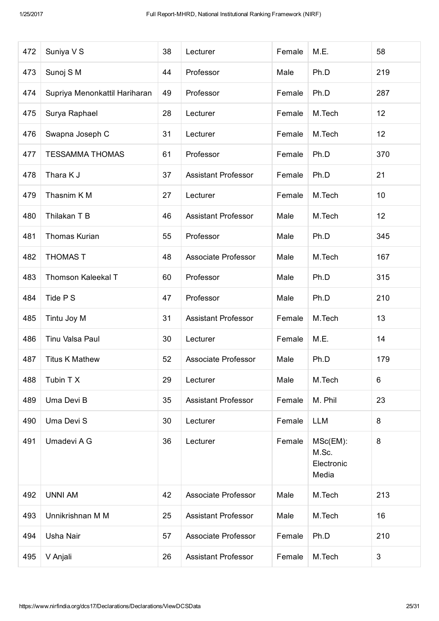| 472 | Suniya V S                    | 38 | Lecturer                     | Female                                             | M.E.       | 58  |
|-----|-------------------------------|----|------------------------------|----------------------------------------------------|------------|-----|
| 473 | Sunoj S M                     | 44 | Professor                    | Male                                               | Ph.D       | 219 |
| 474 | Supriya Menonkattil Hariharan | 49 | Professor                    | Female                                             | Ph.D       | 287 |
| 475 | Surya Raphael                 | 28 | M.Tech<br>Lecturer<br>Female |                                                    | 12         |     |
| 476 | Swapna Joseph C               | 31 | Lecturer                     | Female                                             | M.Tech     | 12  |
| 477 | <b>TESSAMMA THOMAS</b>        | 61 | Professor                    | Female                                             | Ph.D       | 370 |
| 478 | Thara K J                     | 37 | <b>Assistant Professor</b>   | Female                                             | Ph.D       | 21  |
| 479 | Thasnim K M                   | 27 | Lecturer                     | Female                                             | M.Tech     | 10  |
| 480 | Thilakan T B                  | 46 | <b>Assistant Professor</b>   | Male                                               | M.Tech     | 12  |
| 481 | <b>Thomas Kurian</b>          | 55 | Professor                    | Male                                               | Ph.D       | 345 |
| 482 | <b>THOMAS T</b>               | 48 | Associate Professor          | Male                                               | M.Tech     | 167 |
| 483 | <b>Thomson Kaleekal T</b>     | 60 | Professor                    | Male                                               | Ph.D       | 315 |
| 484 | Tide P S                      | 47 | Professor                    | Male                                               | Ph.D       | 210 |
| 485 | Tintu Joy M                   | 31 | <b>Assistant Professor</b>   | Female                                             | M.Tech     | 13  |
| 486 | Tinu Valsa Paul               | 30 | Lecturer                     | Female                                             | M.E.       | 14  |
| 487 | <b>Titus K Mathew</b>         | 52 | Associate Professor          | Male                                               | Ph.D       | 179 |
| 488 | Tubin T X                     | 29 | Lecturer                     | Male                                               | M.Tech     | 6   |
| 489 | Uma Devi B                    | 35 | <b>Assistant Professor</b>   | Female                                             | M. Phil    | 23  |
| 490 | Uma Devi S                    | 30 | Lecturer                     | Female                                             | <b>LLM</b> | 8   |
| 491 | Umadevi A G                   | 36 | Lecturer                     | Female<br>MSc(EM):<br>M.Sc.<br>Electronic<br>Media |            | 8   |
| 492 | <b>UNNI AM</b>                | 42 | Associate Professor          | Male                                               | M.Tech     | 213 |
| 493 | Unnikrishnan M M              | 25 | <b>Assistant Professor</b>   | Male                                               | M.Tech     | 16  |
| 494 | Usha Nair                     | 57 | Associate Professor          | Female                                             | Ph.D       | 210 |
| 495 | V Anjali                      | 26 | <b>Assistant Professor</b>   | Female<br>M.Tech                                   |            | 3   |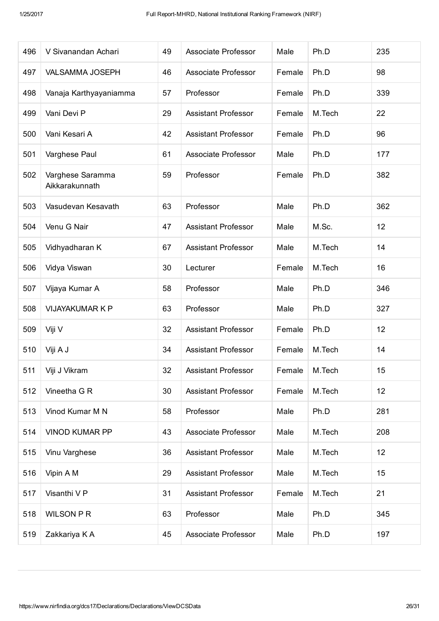| 496 | V Sivanandan Achari                | 49 | Associate Professor        | Male   | Ph.D   | 235 |
|-----|------------------------------------|----|----------------------------|--------|--------|-----|
| 497 | <b>VALSAMMA JOSEPH</b>             | 46 | Associate Professor        | Female | Ph.D   | 98  |
| 498 | Vanaja Karthyayaniamma             | 57 | Professor                  | Female | Ph.D   | 339 |
| 499 | Vani Devi P                        | 29 | <b>Assistant Professor</b> | Female | M.Tech | 22  |
| 500 | Vani Kesari A                      | 42 | <b>Assistant Professor</b> | Female | Ph.D   | 96  |
| 501 | Varghese Paul                      | 61 | Associate Professor        | Male   | Ph.D   | 177 |
| 502 | Varghese Saramma<br>Aikkarakunnath | 59 | Professor                  | Female | Ph.D   | 382 |
| 503 | Vasudevan Kesavath                 | 63 | Professor                  | Male   | Ph.D   | 362 |
| 504 | Venu G Nair                        | 47 | <b>Assistant Professor</b> | Male   | M.Sc.  | 12  |
| 505 | Vidhyadharan K                     | 67 | <b>Assistant Professor</b> | Male   | M.Tech | 14  |
| 506 | Vidya Viswan                       | 30 | Lecturer                   | Female | M.Tech | 16  |
| 507 | Vijaya Kumar A                     | 58 | Professor                  | Male   | Ph.D   | 346 |
| 508 | <b>VIJAYAKUMAR K P</b>             | 63 | Professor                  | Male   | Ph.D   | 327 |
| 509 | Viji V                             | 32 | <b>Assistant Professor</b> | Female | Ph.D   | 12  |
| 510 | Viji A J                           | 34 | <b>Assistant Professor</b> | Female | M.Tech | 14  |
| 511 | Viji J Vikram                      | 32 | <b>Assistant Professor</b> | Female | M.Tech | 15  |
| 512 | Vineetha G R                       | 30 | <b>Assistant Professor</b> | Female | M.Tech | 12  |
| 513 | Vinod Kumar M N                    | 58 | Professor                  | Male   | Ph.D   | 281 |
| 514 | <b>VINOD KUMAR PP</b>              | 43 | Associate Professor        | Male   | M.Tech | 208 |
| 515 | Vinu Varghese                      | 36 | <b>Assistant Professor</b> | Male   | M.Tech | 12  |
| 516 | Vipin A M                          | 29 | <b>Assistant Professor</b> | Male   | M.Tech | 15  |
| 517 | Visanthi V P                       | 31 | <b>Assistant Professor</b> | Female | M.Tech | 21  |
| 518 | <b>WILSON P R</b>                  | 63 | Professor                  | Male   | Ph.D   | 345 |
| 519 | Zakkariya K A                      | 45 | Associate Professor        | Male   | Ph.D   | 197 |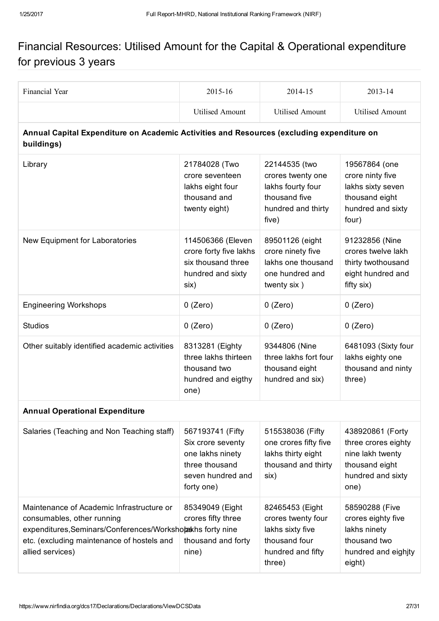## Financial Resources: Utilised Amount for the Capital & Operational expenditure for previous 3 years

| Financial Year                                                                                                                                                                                          | 2015-16                                                                                                        | 2014-15                                                                                                   | 2013-14                                                                                                    |
|---------------------------------------------------------------------------------------------------------------------------------------------------------------------------------------------------------|----------------------------------------------------------------------------------------------------------------|-----------------------------------------------------------------------------------------------------------|------------------------------------------------------------------------------------------------------------|
|                                                                                                                                                                                                         | <b>Utilised Amount</b>                                                                                         | <b>Utilised Amount</b>                                                                                    | <b>Utilised Amount</b>                                                                                     |
| Annual Capital Expenditure on Academic Activities and Resources (excluding expenditure on<br>buildings)                                                                                                 |                                                                                                                |                                                                                                           |                                                                                                            |
| Library                                                                                                                                                                                                 | 21784028 (Two<br>crore seventeen<br>lakhs eight four<br>thousand and<br>twenty eight)                          | 22144535 (two<br>crores twenty one<br>lakhs fourty four<br>thousand five<br>hundred and thirty<br>five)   | 19567864 (one<br>crore ninty five<br>lakhs sixty seven<br>thousand eight<br>hundred and sixty<br>four)     |
| New Equipment for Laboratories                                                                                                                                                                          | 114506366 (Eleven<br>crore forty five lakhs<br>six thousand three<br>hundred and sixty<br>six)                 | 89501126 (eight<br>crore ninety five<br>lakhs one thousand<br>one hundred and<br>twenty six)              | 91232856 (Nine<br>crores twelve lakh<br>thirty twothousand<br>eight hundred and<br>fifty six)              |
| <b>Engineering Workshops</b>                                                                                                                                                                            | $0$ (Zero)                                                                                                     | $0$ (Zero)                                                                                                | $0$ (Zero)                                                                                                 |
| <b>Studios</b>                                                                                                                                                                                          | $0$ (Zero)                                                                                                     | $0$ (Zero)                                                                                                | $0$ (Zero)                                                                                                 |
| Other suitably identified academic activities                                                                                                                                                           | 8313281 (Eighty<br>three lakhs thirteen<br>thousand two<br>hundred and eigthy<br>one)                          | 9344806 (Nine<br>three lakhs fort four<br>thousand eight<br>hundred and six)                              | 6481093 (Sixty four<br>lakhs eighty one<br>thousand and ninty<br>three)                                    |
| <b>Annual Operational Expenditure</b>                                                                                                                                                                   |                                                                                                                |                                                                                                           |                                                                                                            |
| Salaries (Teaching and Non Teaching staff)                                                                                                                                                              | 567193741 (Fifty<br>Six crore seventy<br>one lakhs ninety<br>three thousand<br>seven hundred and<br>forty one) | 515538036 (Fifty<br>one crores fifty five<br>lakhs thirty eight<br>thousand and thirty<br>six)            | 438920861 (Forty<br>three crores eighty<br>nine lakh twenty<br>thousand eight<br>hundred and sixty<br>one) |
| Maintenance of Academic Infrastructure or<br>consumables, other running<br>expenditures, Seminars/Conferences/Workshopakhs forty nine<br>etc. (excluding maintenance of hostels and<br>allied services) | 85349049 (Eight<br>crores fifty three<br>thousand and forty<br>nine)                                           | 82465453 (Eight<br>crores twenty four<br>lakhs sixty five<br>thousand four<br>hundred and fifty<br>three) | 58590288 (Five<br>crores eighty five<br>lakhs ninety<br>thousand two<br>hundred and eighjty<br>eight)      |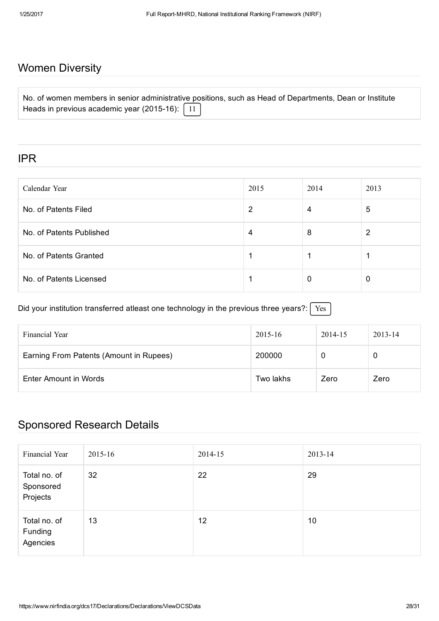## Women Diversity

| No. of women members in senior administrative positions, such as Head of Departments, Dean or Institute |  |  |  |  |
|---------------------------------------------------------------------------------------------------------|--|--|--|--|
| Heads in previous academic year (2015-16): $\boxed{11}$                                                 |  |  |  |  |

#### IPR

| Calendar Year            | 2015 | 2014 | 2013 |
|--------------------------|------|------|------|
| No. of Patents Filed     | 2    | 4    | 5    |
| No. of Patents Published | 4    | 8    | 2    |
| No. of Patents Granted   |      |      |      |
| No. of Patents Licensed  |      | 0    | 0    |

Did your institution transferred atleast one technology in the previous three years?:  $\sqrt{\text{Yes}}$ 

| Financial Year                          | 2015-16   | 2014-15 | $2013 - 14$ |
|-----------------------------------------|-----------|---------|-------------|
| Earning From Patents (Amount in Rupees) | 200000    | O       | 0           |
| Enter Amount in Words                   | Two lakhs | Zero    | Zero        |

## Sponsored Research Details

| Financial Year                        | 2015-16 | 2014-15 | 2013-14 |
|---------------------------------------|---------|---------|---------|
| Total no. of<br>Sponsored<br>Projects | 32      | 22      | 29      |
| Total no. of<br>Funding<br>Agencies   | 13      | 12      | 10      |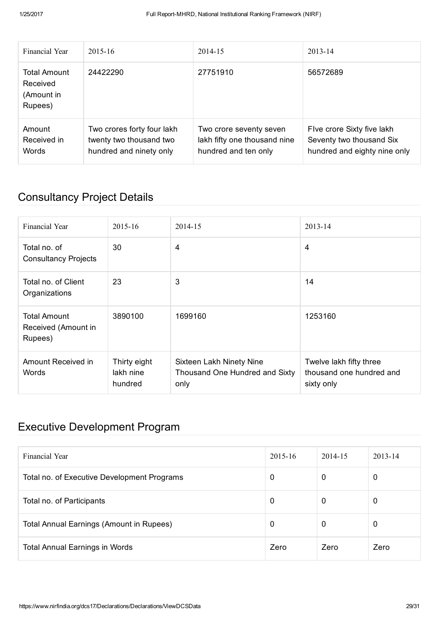| Financial Year                                           | $2015 - 16$                                                                      | 2014-15                                                                         | $2013 - 14$                                                                            |
|----------------------------------------------------------|----------------------------------------------------------------------------------|---------------------------------------------------------------------------------|----------------------------------------------------------------------------------------|
| <b>Total Amount</b><br>Received<br>(Amount in<br>Rupees) | 24422290                                                                         | 27751910                                                                        | 56572689                                                                               |
| Amount<br>Received in<br>Words                           | Two crores forty four lakh<br>twenty two thousand two<br>hundred and ninety only | Two crore seventy seven<br>lakh fifty one thousand nine<br>hundred and ten only | Five crore Sixty five lakh<br>Seventy two thousand Six<br>hundred and eighty nine only |

## Consultancy Project Details

| Financial Year                                        | $2015 - 16$                          | 2014-15                                                                   | 2013-14                                                           |
|-------------------------------------------------------|--------------------------------------|---------------------------------------------------------------------------|-------------------------------------------------------------------|
| Total no. of<br><b>Consultancy Projects</b>           | 30                                   | 4                                                                         | 4                                                                 |
| Total no. of Client<br>Organizations                  | 23                                   | 3                                                                         | 14                                                                |
| <b>Total Amount</b><br>Received (Amount in<br>Rupees) | 3890100                              | 1699160                                                                   | 1253160                                                           |
| Amount Received in<br>Words                           | Thirty eight<br>lakh nine<br>hundred | <b>Sixteen Lakh Ninety Nine</b><br>Thousand One Hundred and Sixty<br>only | Twelve lakh fifty three<br>thousand one hundred and<br>sixty only |

## Executive Development Program

| Financial Year                              | $2015 - 16$ | 2014-15 | $2013 - 14$ |
|---------------------------------------------|-------------|---------|-------------|
| Total no. of Executive Development Programs | 0           | 0       | 0           |
| Total no. of Participants                   | 0           | 0       | 0           |
| Total Annual Earnings (Amount in Rupees)    | 0           | 0       | 0           |
| <b>Total Annual Earnings in Words</b>       | Zero        | Zero    | Zero        |